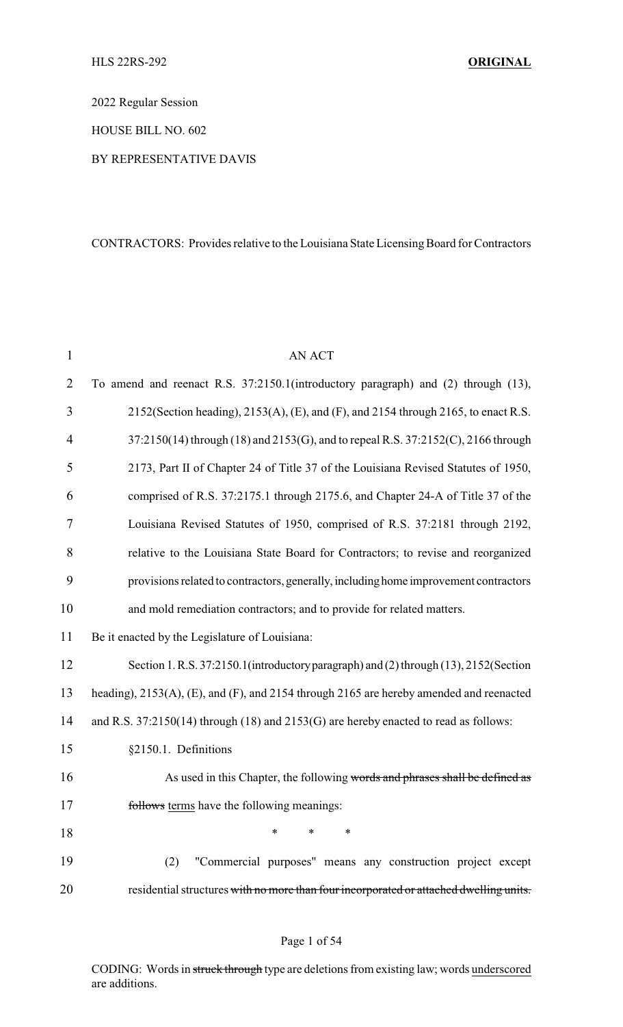2022 Regular Session

HOUSE BILL NO. 602

#### BY REPRESENTATIVE DAVIS

### CONTRACTORS: Provides relative to the Louisiana State Licensing Board for Contractors

| $\mathbf{1}$   | <b>AN ACT</b>                                                                            |
|----------------|------------------------------------------------------------------------------------------|
| $\overline{2}$ | To amend and reenact R.S. 37:2150.1(introductory paragraph) and (2) through (13),        |
| 3              | 2152(Section heading), 2153(A), (E), and (F), and 2154 through 2165, to enact R.S.       |
| 4              | 37:2150(14) through (18) and 2153(G), and to repeal R.S. 37:2152(C), 2166 through        |
| 5              | 2173, Part II of Chapter 24 of Title 37 of the Louisiana Revised Statutes of 1950,       |
| 6              | comprised of R.S. 37:2175.1 through 2175.6, and Chapter 24-A of Title 37 of the          |
| 7              | Louisiana Revised Statutes of 1950, comprised of R.S. 37:2181 through 2192,              |
| 8              | relative to the Louisiana State Board for Contractors; to revise and reorganized         |
| 9              | provisions related to contractors, generally, including home improvement contractors     |
| 10             | and mold remediation contractors; and to provide for related matters.                    |
| 11             | Be it enacted by the Legislature of Louisiana:                                           |
| 12             | Section 1. R.S. 37:2150.1 (introductory paragraph) and (2) through (13), 2152 (Section   |
| 13             | heading), 2153(A), (E), and (F), and 2154 through 2165 are hereby amended and reenacted  |
| 14             | and R.S. $37:2150(14)$ through (18) and $2153(G)$ are hereby enacted to read as follows: |
| 15             | §2150.1. Definitions                                                                     |
| 16             | As used in this Chapter, the following words and phrases shall be defined as             |
| 17             | follows terms have the following meanings:                                               |
| 18             | *<br>*<br>∗                                                                              |
| 19             | "Commercial purposes" means any construction project except<br>(2)                       |
| 20             | residential structures with no more than four incorporated or attached dwelling units.   |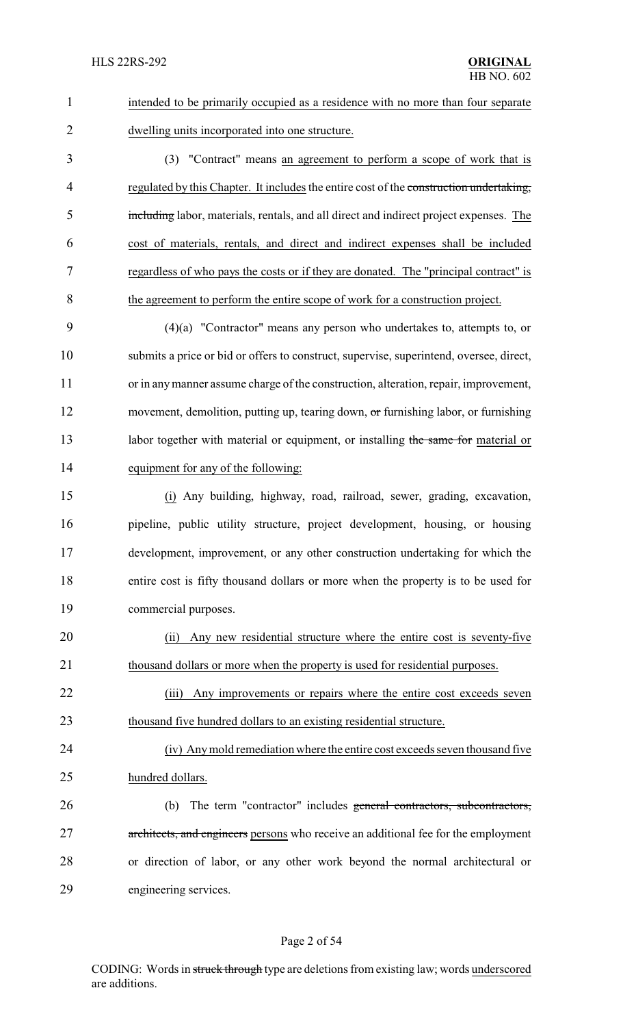| $\mathbf{1}$   | intended to be primarily occupied as a residence with no more than four separate        |
|----------------|-----------------------------------------------------------------------------------------|
| $\overline{2}$ | dwelling units incorporated into one structure.                                         |
| 3              | (3) "Contract" means an agreement to perform a scope of work that is                    |
| $\overline{4}$ | regulated by this Chapter. It includes the entire cost of the construction undertaking, |
| 5              | including labor, materials, rentals, and all direct and indirect project expenses. The  |
| 6              | cost of materials, rentals, and direct and indirect expenses shall be included          |
| 7              | regardless of who pays the costs or if they are donated. The "principal contract" is    |
| 8              | the agreement to perform the entire scope of work for a construction project.           |
| 9              | $(4)(a)$ "Contractor" means any person who undertakes to, attempts to, or               |
| 10             | submits a price or bid or offers to construct, supervise, superintend, oversee, direct, |
| 11             | or in any manner assume charge of the construction, alteration, repair, improvement,    |
| 12             | movement, demolition, putting up, tearing down, or furnishing labor, or furnishing      |
| 13             | labor together with material or equipment, or installing the same for material or       |
| 14             | equipment for any of the following:                                                     |
| 15             | (i) Any building, highway, road, railroad, sewer, grading, excavation,                  |
| 16             | pipeline, public utility structure, project development, housing, or housing            |
| 17             | development, improvement, or any other construction undertaking for which the           |
| 18             | entire cost is fifty thousand dollars or more when the property is to be used for       |
| 19             | commercial purposes.                                                                    |
| 20             | Any new residential structure where the entire cost is seventy-five<br>(ii)             |
| 21             | thousand dollars or more when the property is used for residential purposes.            |
| 22             | Any improvements or repairs where the entire cost exceeds seven<br>(iii)                |
| 23             | thousand five hundred dollars to an existing residential structure.                     |
| 24             | (iv) Any mold remediation where the entire cost exceeds seven thousand five             |
| 25             | hundred dollars.                                                                        |
| 26             | The term "contractor" includes general contractors, subcontractors,<br>(b)              |
| 27             | architects, and engineers persons who receive an additional fee for the employment      |
| 28             | or direction of labor, or any other work beyond the normal architectural or             |
| 29             | engineering services.                                                                   |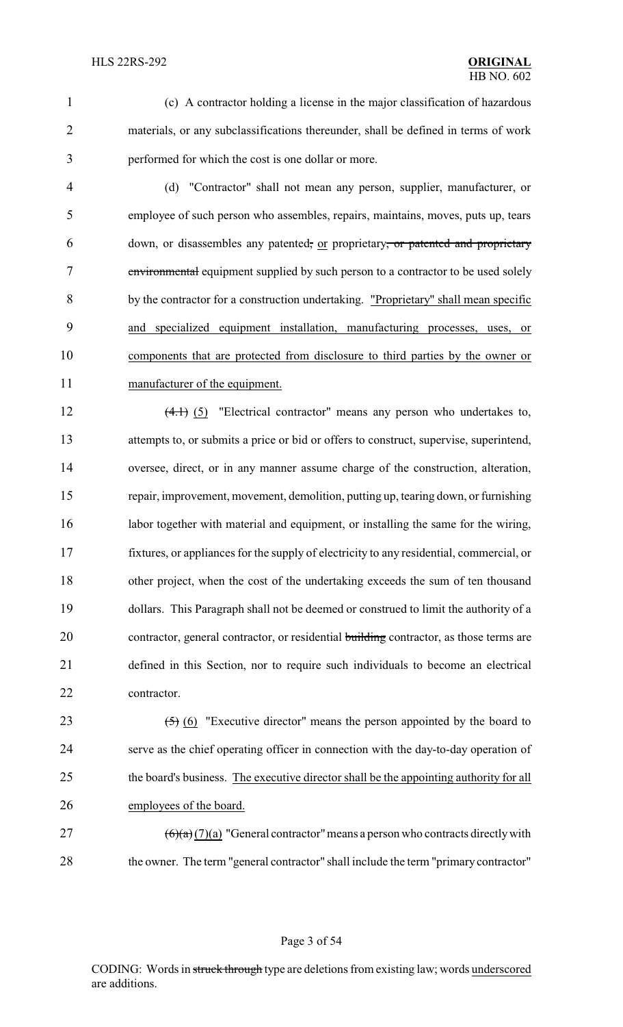(c) A contractor holding a license in the major classification of hazardous materials, or any subclassifications thereunder, shall be defined in terms of work performed for which the cost is one dollar or more.

 (d) "Contractor" shall not mean any person, supplier, manufacturer, or employee of such person who assembles, repairs, maintains, moves, puts up, tears 6 down, or disassembles any patented, or proprietary, or patented and proprietary environmental equipment supplied by such person to a contractor to be used solely by the contractor for a construction undertaking. "Proprietary" shall mean specific and specialized equipment installation, manufacturing processes, uses, or components that are protected from disclosure to third parties by the owner or manufacturer of the equipment.

12 (4.1) (5) "Electrical contractor" means any person who undertakes to, attempts to, or submits a price or bid or offers to construct, supervise, superintend, oversee, direct, or in any manner assume charge of the construction, alteration, repair, improvement, movement, demolition, putting up, tearing down, or furnishing 16 labor together with material and equipment, or installing the same for the wiring, fixtures, or appliances for the supply of electricity to any residential, commercial, or other project, when the cost of the undertaking exceeds the sum of ten thousand dollars. This Paragraph shall not be deemed or construed to limit the authority of a 20 contractor, general contractor, or residential building contractor, as those terms are defined in this Section, nor to require such individuals to become an electrical contractor.

 $(5)$  (6) "Executive director" means the person appointed by the board to serve as the chief operating officer in connection with the day-to-day operation of 25 the board's business. The executive director shall be the appointing authority for all employees of the board.

 (6)(a) (7)(a) "General contractor" means a person who contracts directly with 28 the owner. The term "general contractor" shall include the term "primary contractor"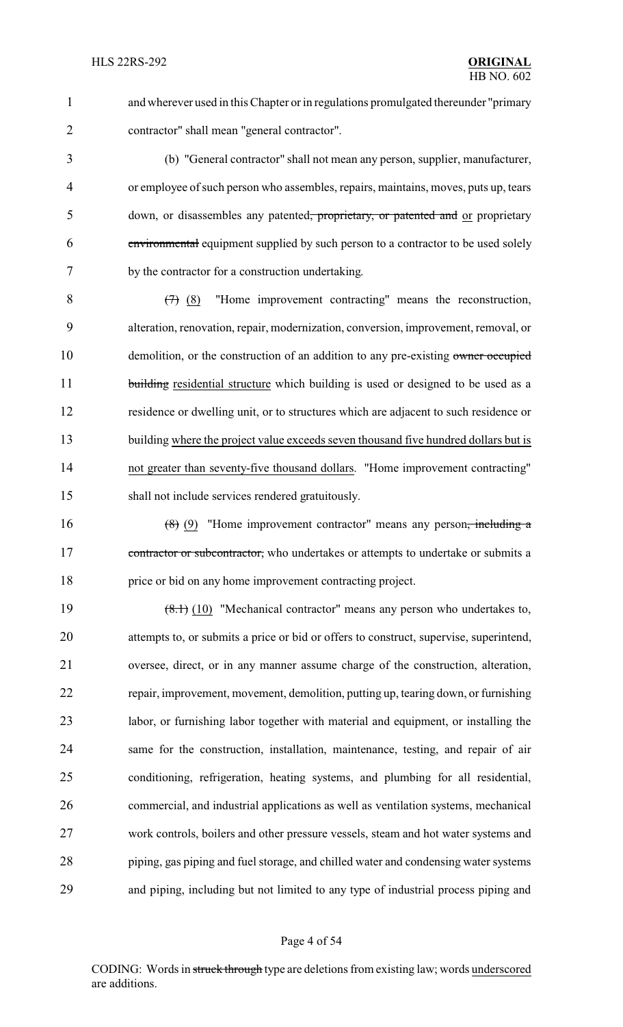and wherever used in this Chapter or in regulations promulgated thereunder "primary contractor" shall mean "general contractor".

 (b) "General contractor" shall not mean any person, supplier, manufacturer, or employee of such person who assembles, repairs, maintains, moves, puts up, tears 5 down, or disassembles any patented, proprietary, or patented and or proprietary environmental equipment supplied by such person to a contractor to be used solely by the contractor for a construction undertaking.

 $8 \left(7\right)$  (8) "Home improvement contracting" means the reconstruction, alteration, renovation, repair, modernization, conversion, improvement, removal, or 10 demolition, or the construction of an addition to any pre-existing owner occupied 11 building residential structure which building is used or designed to be used as a residence or dwelling unit, or to structures which are adjacent to such residence or 13 building where the project value exceeds seven thousand five hundred dollars but is not greater than seventy-five thousand dollars. "Home improvement contracting" shall not include services rendered gratuitously.

16  $(8)$  (9) "Home improvement contractor" means any person<del>, including a</del> 17 contractor or subcontractor, who undertakes or attempts to undertake or submits a price or bid on any home improvement contracting project.

19 (8.1) (10) "Mechanical contractor" means any person who undertakes to, attempts to, or submits a price or bid or offers to construct, supervise, superintend, oversee, direct, or in any manner assume charge of the construction, alteration, repair, improvement, movement, demolition, putting up, tearing down, or furnishing labor, or furnishing labor together with material and equipment, or installing the same for the construction, installation, maintenance, testing, and repair of air conditioning, refrigeration, heating systems, and plumbing for all residential, commercial, and industrial applications as well as ventilation systems, mechanical work controls, boilers and other pressure vessels, steam and hot water systems and piping, gas piping and fuel storage, and chilled water and condensing water systems and piping, including but not limited to any type of industrial process piping and

#### Page 4 of 54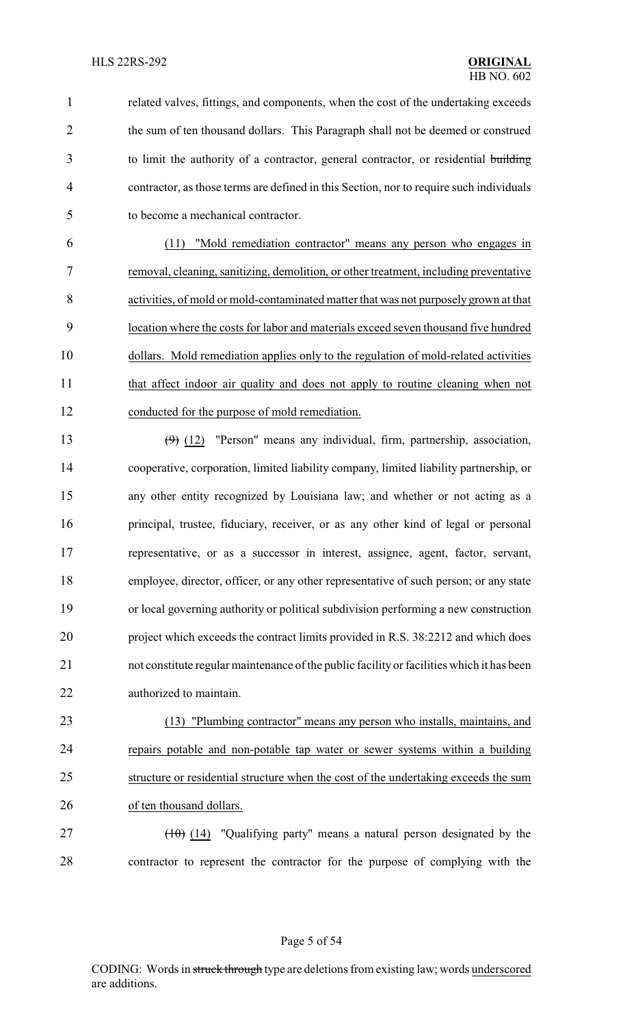related valves, fittings, and components, when the cost of the undertaking exceeds 2 the sum of ten thousand dollars. This Paragraph shall not be deemed or construed to limit the authority of a contractor, general contractor, or residential building contractor, as those terms are defined in this Section, nor to require such individuals to become a mechanical contractor.

 (11) "Mold remediation contractor" means any person who engages in removal, cleaning, sanitizing, demolition, or other treatment, including preventative activities, of mold or mold-contaminated matter that was not purposely grown at that location where the costs for labor and materials exceed seven thousand five hundred dollars. Mold remediation applies only to the regulation of mold-related activities that affect indoor air quality and does not apply to routine cleaning when not conducted for the purpose of mold remediation.

 $(9)$  (12) "Person" means any individual, firm, partnership, association, cooperative, corporation, limited liability company, limited liability partnership, or any other entity recognized by Louisiana law; and whether or not acting as a principal, trustee, fiduciary, receiver, or as any other kind of legal or personal representative, or as a successor in interest, assignee, agent, factor, servant, employee, director, officer, or any other representative of such person; or any state or local governing authority or political subdivision performing a new construction project which exceeds the contract limits provided in R.S. 38:2212 and which does not constitute regular maintenance of the public facility or facilities which it has been authorized to maintain.

 (13) "Plumbing contractor" means any person who installs, maintains, and repairs potable and non-potable tap water or sewer systems within a building structure or residential structure when the cost of the undertaking exceeds the sum of ten thousand dollars.

 (10) (14) "Qualifying party" means a natural person designated by the contractor to represent the contractor for the purpose of complying with the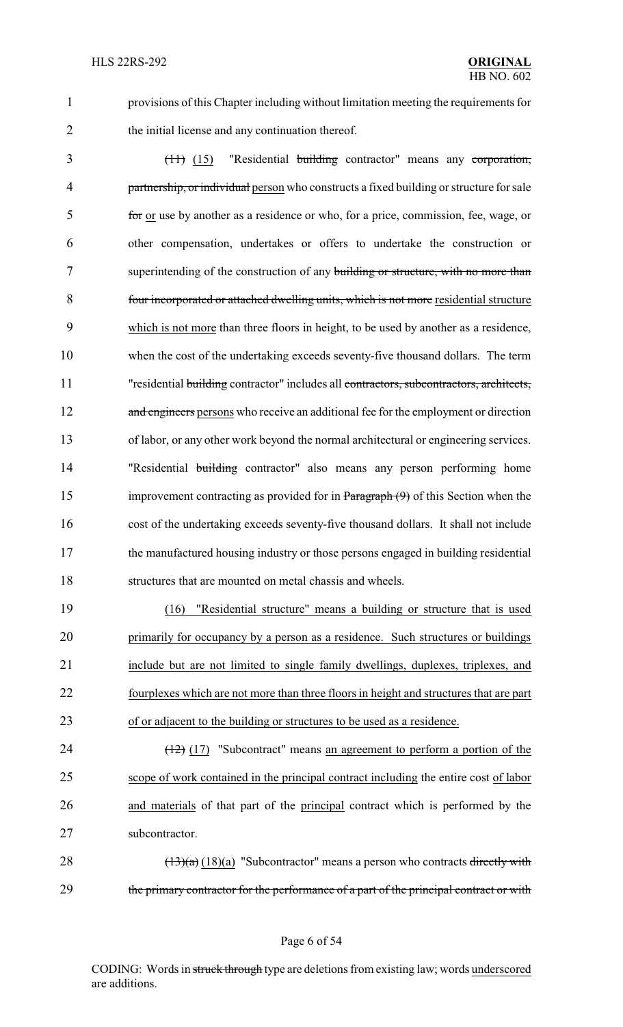1 provisions of this Chapter including without limitation meeting the requirements for 2 the initial license and any continuation thereof.

 (11) (15) "Residential building contractor" means any corporation, 4 partnership, or individual person who constructs a fixed building or structure for sale for or use by another as a residence or who, for a price, commission, fee, wage, or other compensation, undertakes or offers to undertake the construction or 7 superintending of the construction of any building or structure, with no more than four incorporated or attached dwelling units, which is not more residential structure which is not more than three floors in height, to be used by another as a residence, when the cost of the undertaking exceeds seventy-five thousand dollars. The term 11 "residential building contractor" includes all contractors, subcontractors, architects, 12 and engineers persons who receive an additional fee for the employment or direction of labor, or any other work beyond the normal architectural or engineering services. 14 "Residential building contractor" also means any person performing home 15 improvement contracting as provided for in Paragraph (9) of this Section when the cost of the undertaking exceeds seventy-five thousand dollars. It shall not include the manufactured housing industry or those persons engaged in building residential structures that are mounted on metal chassis and wheels.

 (16) "Residential structure" means a building or structure that is used primarily for occupancy by a person as a residence. Such structures or buildings include but are not limited to single family dwellings, duplexes, triplexes, and fourplexes which are not more than three floors in height and structures that are part of or adjacent to the building or structures to be used as a residence.

 $\left(\frac{12}{2}\right)$  (17) "Subcontract" means an agreement to perform a portion of the scope of work contained in the principal contract including the entire cost of labor and materials of that part of the principal contract which is performed by the subcontractor.

28  $(13)(a)$  (18)(a) "Subcontractor" means a person who contracts directly with 29 the primary contractor for the performance of a part of the principal contract or with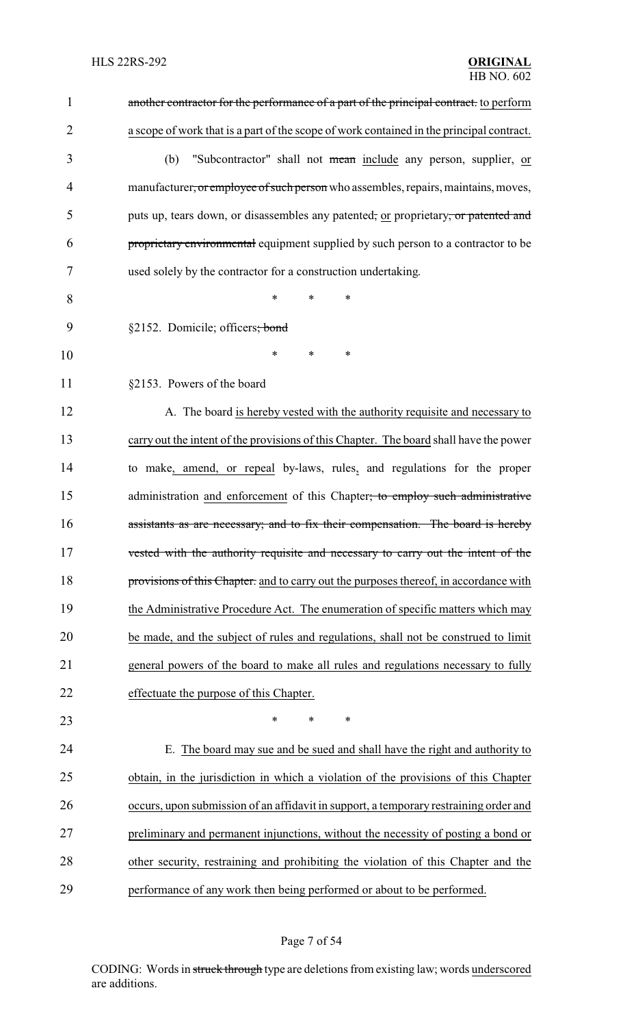| $\mathbf{1}$   | another contractor for the performance of a part of the principal contract. to perform   |
|----------------|------------------------------------------------------------------------------------------|
| $\overline{2}$ | a scope of work that is a part of the scope of work contained in the principal contract. |
| 3              | "Subcontractor" shall not mean include any person, supplier, or<br>(b)                   |
| 4              | manufacturer, or employee of such person who assembles, repairs, maintains, moves,       |
| 5              | puts up, tears down, or disassembles any patented, or proprietary, or patented and       |
| 6              | proprietary environmental equipment supplied by such person to a contractor to be        |
| 7              | used solely by the contractor for a construction undertaking.                            |
| 8              | $\ast$<br>∗<br>$\ast$                                                                    |
| 9              | §2152. Domicile; officers; bond                                                          |
| 10             | *<br>*<br>*                                                                              |
| 11             | §2153. Powers of the board                                                               |
| 12             | A. The board is hereby vested with the authority requisite and necessary to              |
| 13             | carry out the intent of the provisions of this Chapter. The board shall have the power   |
| 14             | to make, amend, or repeal by-laws, rules, and regulations for the proper                 |
| 15             | administration and enforcement of this Chapter; to employ such administrative            |
| 16             | assistants as are necessary; and to fix their compensation. The board is hereby          |
| 17             | vested with the authority requisite and necessary to carry out the intent of the         |
| 18             | provisions of this Chapter. and to carry out the purposes thereof, in accordance with    |
| 19             | the Administrative Procedure Act. The enumeration of specific matters which may          |
| 20             | be made, and the subject of rules and regulations, shall not be construed to limit       |
| 21             | general powers of the board to make all rules and regulations necessary to fully         |
| 22             | effectuate the purpose of this Chapter.                                                  |
| 23             | $\ast$<br>$\ast$<br>$\ast$                                                               |
| 24             | E. The board may sue and be sued and shall have the right and authority to               |
| 25             | obtain, in the jurisdiction in which a violation of the provisions of this Chapter       |
| 26             | occurs, upon submission of an affidavit in support, a temporary restraining order and    |
| 27             | preliminary and permanent injunctions, without the necessity of posting a bond or        |
| 28             | other security, restraining and prohibiting the violation of this Chapter and the        |
| 29             | performance of any work then being performed or about to be performed.                   |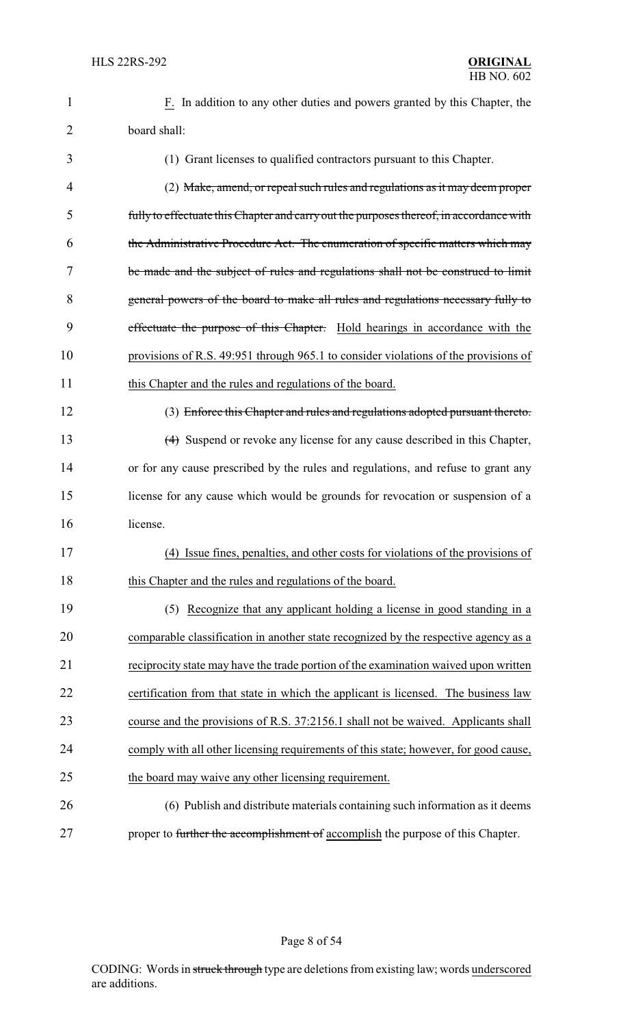| $\mathbf{1}$   | F. In addition to any other duties and powers granted by this Chapter, the              |
|----------------|-----------------------------------------------------------------------------------------|
| $\overline{2}$ | board shall:                                                                            |
| 3              | (1) Grant licenses to qualified contractors pursuant to this Chapter.                   |
| 4              | (2) Make, amend, or repeal such rules and regulations as it may deem proper             |
| 5              | fully to effectuate this Chapter and carry out the purposes thereof, in accordance with |
| 6              | the Administrative Procedure Act. The enumeration of specific matters which may         |
| 7              | be made and the subject of rules and regulations shall not be construed to limit        |
| 8              | general powers of the board to make all rules and regulations necessary fully to        |
| 9              | effectuate the purpose of this Chapter. Hold hearings in accordance with the            |
| 10             | provisions of R.S. 49:951 through 965.1 to consider violations of the provisions of     |
| 11             | this Chapter and the rules and regulations of the board.                                |
| 12             | (3) Enforce this Chapter and rules and regulations adopted pursuant thereto.            |
| 13             | (4) Suspend or revoke any license for any cause described in this Chapter,              |
| 14             | or for any cause prescribed by the rules and regulations, and refuse to grant any       |
| 15             | license for any cause which would be grounds for revocation or suspension of a          |
| 16             | license.                                                                                |
| 17             | (4) Issue fines, penalties, and other costs for violations of the provisions of         |
| 18             | this Chapter and the rules and regulations of the board.                                |
| 19             | (5) Recognize that any applicant holding a license in good standing in a                |
| 20             | comparable classification in another state recognized by the respective agency as a     |
| 21             | reciprocity state may have the trade portion of the examination waived upon written     |
| 22             | certification from that state in which the applicant is licensed. The business law      |
| 23             | course and the provisions of R.S. 37:2156.1 shall not be waived. Applicants shall       |
| 24             | comply with all other licensing requirements of this state; however, for good cause,    |
| 25             | the board may waive any other licensing requirement.                                    |
| 26             | (6) Publish and distribute materials containing such information as it deems            |
| 27             | proper to further the accomplishment of accomplish the purpose of this Chapter.         |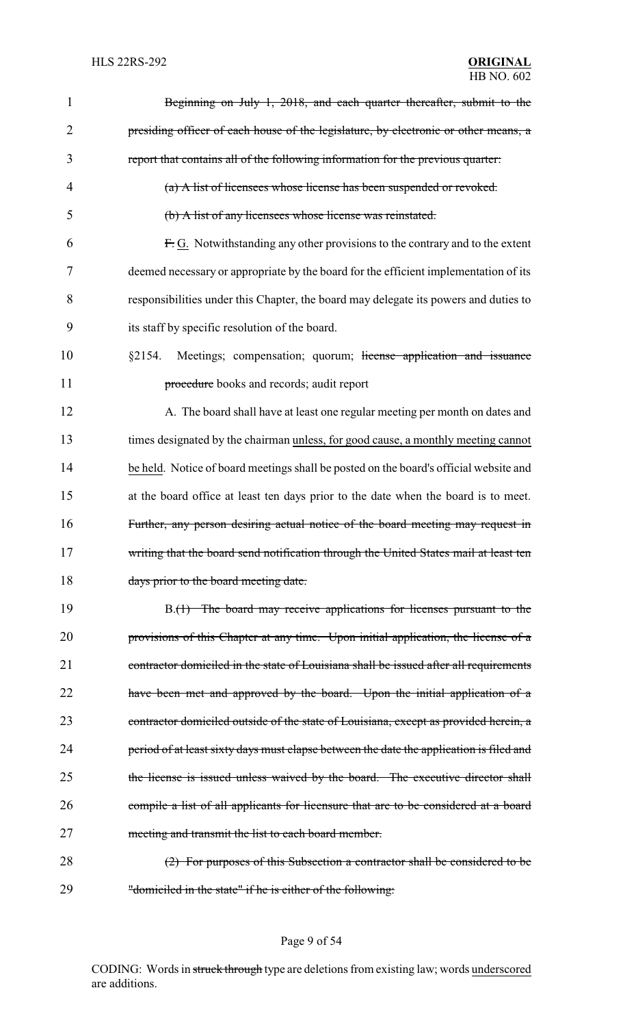| $\mathbf{1}$   | Beginning on July 1, 2018, and each quarter thereafter, submit to the                   |
|----------------|-----------------------------------------------------------------------------------------|
| $\overline{2}$ | presiding officer of each house of the legislature, by electronic or other means, a     |
| 3              | report that contains all of the following information for the previous quarter:         |
| 4              | (a) A list of licensees whose license has been suspended or revoked.                    |
| 5              | (b) A list of any licensees whose license was reinstated.                               |
| 6              | F.G. Notwithstanding any other provisions to the contrary and to the extent             |
| 7              | deemed necessary or appropriate by the board for the efficient implementation of its    |
| 8              | responsibilities under this Chapter, the board may delegate its powers and duties to    |
| 9              | its staff by specific resolution of the board.                                          |
| 10             | Meetings; compensation; quorum; license application and issuance<br>§2154.              |
| 11             | procedure books and records; audit report                                               |
| 12             | A. The board shall have at least one regular meeting per month on dates and             |
| 13             | times designated by the chairman unless, for good cause, a monthly meeting cannot       |
| 14             | be held. Notice of board meetings shall be posted on the board's official website and   |
| 15             | at the board office at least ten days prior to the date when the board is to meet.      |
| 16             | Further, any person desiring actual notice of the board meeting may request in          |
| 17             | writing that the board send notification through the United States mail at least ten    |
| 18             | days prior to the board meeting date.                                                   |
| 19             | B.(1) The board may receive applications for licenses pursuant to the                   |
| 20             | provisions of this Chapter at any time. Upon initial application, the license of a      |
| 21             | contractor domiciled in the state of Louisiana shall be issued after all requirements   |
| 22             | have been met and approved by the board. Upon the initial application of a              |
| 23             | contractor domiciled outside of the state of Louisiana, except as provided herein, a    |
| 24             | period of at least sixty days must elapse between the date the application is filed and |
| 25             | the license is issued unless waived by the board. The executive director shall          |
| 26             | compile a list of all applicants for licensure that are to be considered at a board     |
| 27             | meeting and transmit the list to each board member.                                     |
| 28             | (2) For purposes of this Subsection a contractor shall be considered to be              |
| 29             | "domiciled in the state" if he is either of the following:                              |

# Page 9 of 54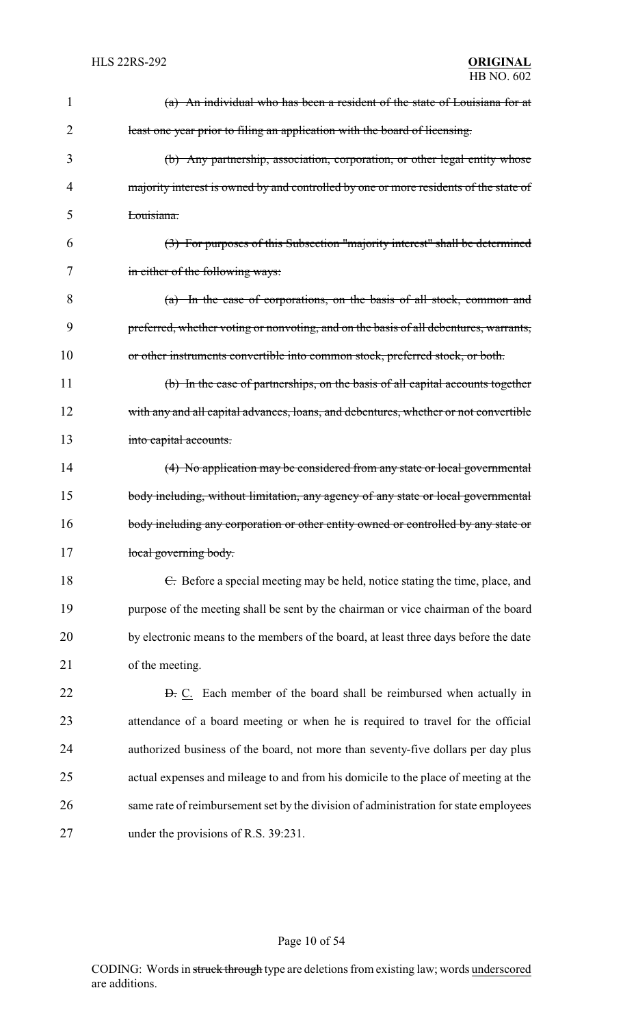| 1  | (a) An individual who has been a resident of the state of Louisiana for at            |
|----|---------------------------------------------------------------------------------------|
| 2  | least one year prior to filing an application with the board of licensing.            |
| 3  | (b) Any partnership, association, corporation, or other legal entity whose            |
| 4  | majority interest is owned by and controlled by one or more residents of the state of |
| 5  | Louisiana.                                                                            |
| 6  | (3) For purposes of this Subsection "majority interest" shall be determined           |
| 7  | in either of the following ways:                                                      |
| 8  | (a) In the case of corporations, on the basis of all stock, common and                |
| 9  | preferred, whether voting or nonvoting, and on the basis of all debentures, warrants, |
| 10 | or other instruments convertible into common stock, preferred stock, or both.         |
| 11 | (b) In the case of partnerships, on the basis of all capital accounts together        |
| 12 | with any and all capital advances, loans, and debentures, whether or not convertible  |
| 13 | into capital accounts.                                                                |
| 14 | (4) No application may be considered from any state or local governmental             |
| 15 | body including, without limitation, any agency of any state or local governmental     |
| 16 | body including any corporation or other entity owned or controlled by any state or    |
| 17 | local governing body.                                                                 |
| 18 | E. Before a special meeting may be held, notice stating the time, place, and          |
| 19 | purpose of the meeting shall be sent by the chairman or vice chairman of the board    |
| 20 | by electronic means to the members of the board, at least three days before the date  |
| 21 | of the meeting.                                                                       |
| 22 | <b>D.</b> C. Each member of the board shall be reimbursed when actually in            |
| 23 | attendance of a board meeting or when he is required to travel for the official       |
| 24 | authorized business of the board, not more than seventy-five dollars per day plus     |
| 25 | actual expenses and mileage to and from his domicile to the place of meeting at the   |
| 26 | same rate of reimbursement set by the division of administration for state employees  |
| 27 | under the provisions of R.S. 39:231.                                                  |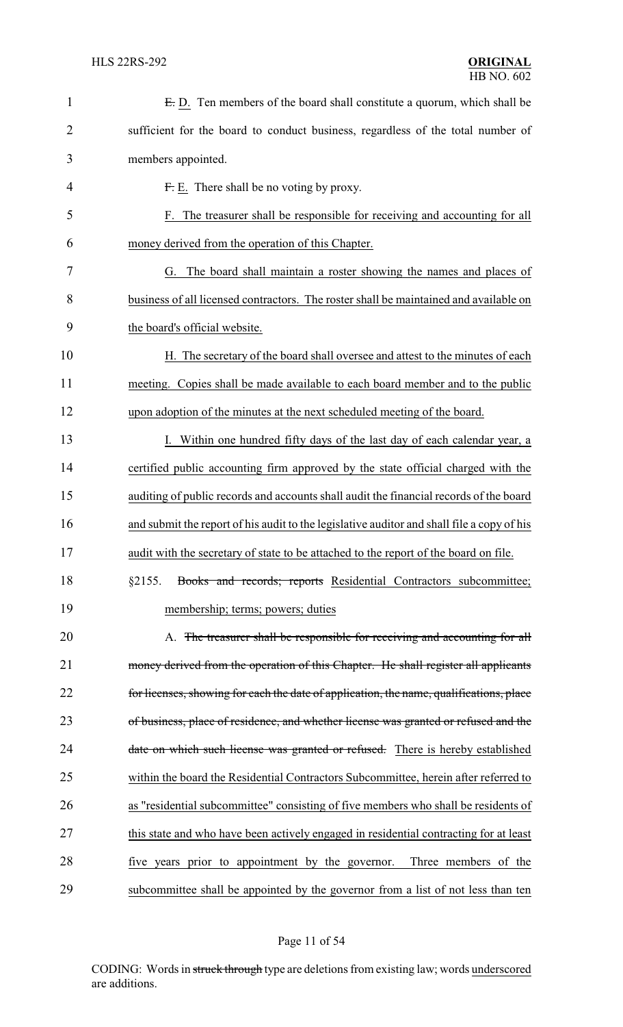| $\mathbf{1}$   | E.D. Ten members of the board shall constitute a quorum, which shall be                    |
|----------------|--------------------------------------------------------------------------------------------|
| $\overline{2}$ | sufficient for the board to conduct business, regardless of the total number of            |
| 3              | members appointed.                                                                         |
| 4              | $Fr$ E. There shall be no voting by proxy.                                                 |
| 5              | F. The treasurer shall be responsible for receiving and accounting for all                 |
| 6              | money derived from the operation of this Chapter.                                          |
| 7              | G. The board shall maintain a roster showing the names and places of                       |
| 8              | business of all licensed contractors. The roster shall be maintained and available on      |
| 9              | the board's official website.                                                              |
| 10             | H. The secretary of the board shall oversee and attest to the minutes of each              |
| 11             | meeting. Copies shall be made available to each board member and to the public             |
| 12             | upon adoption of the minutes at the next scheduled meeting of the board.                   |
| 13             | Within one hundred fifty days of the last day of each calendar year, a                     |
| 14             | certified public accounting firm approved by the state official charged with the           |
| 15             | auditing of public records and accounts shall audit the financial records of the board     |
| 16             | and submit the report of his audit to the legislative auditor and shall file a copy of his |
| 17             | audit with the secretary of state to be attached to the report of the board on file.       |
| 18             | Books and records; reports Residential Contractors subcommittee;<br>§2155.                 |
| 19             | membership; terms; powers; duties                                                          |
| 20             | A. The treasurer shall be responsible for receiving and accounting for all                 |
| 21             | money derived from the operation of this Chapter. He shall register all applicants         |
| 22             | for licenses, showing for each the date of application, the name, qualifications, place    |
| 23             | of business, place of residence, and whether license was granted or refused and the        |
| 24             | date on which such license was granted or refused. There is hereby established             |
| 25             | within the board the Residential Contractors Subcommittee, herein after referred to        |
| 26             | as "residential subcommittee" consisting of five members who shall be residents of         |
| 27             | this state and who have been actively engaged in residential contracting for at least      |
| 28             | five years prior to appointment by the governor.<br>Three members of the                   |
| 29             | subcommittee shall be appointed by the governor from a list of not less than ten           |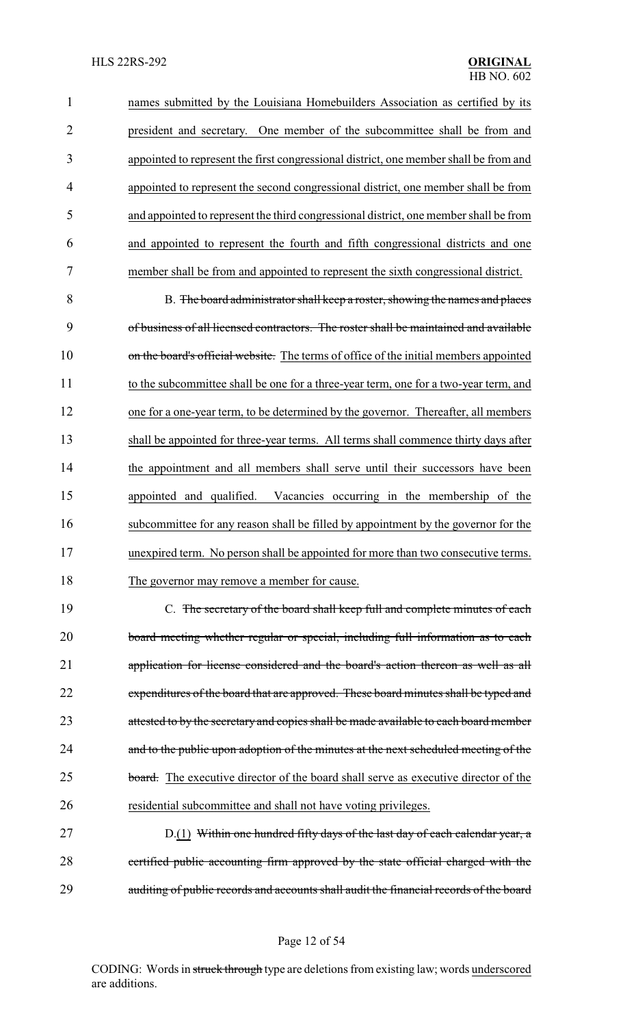names submitted by the Louisiana Homebuilders Association as certified by its president and secretary. One member of the subcommittee shall be from and appointed to represent the first congressional district, one member shall be from and appointed to represent the second congressional district, one member shall be from and appointed to represent the third congressional district, one member shall be from and appointed to represent the fourth and fifth congressional districts and one member shall be from and appointed to represent the sixth congressional district.

 B. The board administrator shall keep a roster, showing the names and places of business of all licensed contractors. The roster shall be maintained and available 10 on the board's official website. The terms of office of the initial members appointed to the subcommittee shall be one for a three-year term, one for a two-year term, and one for a one-year term, to be determined by the governor. Thereafter, all members shall be appointed for three-year terms. All terms shall commence thirty days after the appointment and all members shall serve until their successors have been appointed and qualified. Vacancies occurring in the membership of the subcommittee for any reason shall be filled by appointment by the governor for the unexpired term. No person shall be appointed for more than two consecutive terms. 18 The governor may remove a member for cause.

 C. The secretary of the board shall keep full and complete minutes of each board meeting whether regular or special, including full information as to each application for license considered and the board's action thereon as well as all 22 expenditures of the board that are approved. These board minutes shall be typed and 23 attested to by the secretary and copies shall be made available to each board member 24 and to the public upon adoption of the minutes at the next scheduled meeting of the 25 board. The executive director of the board shall serve as executive director of the residential subcommittee and shall not have voting privileges.

27 D.(1) Within one hundred fifty days of the last day of each calendar year, a certified public accounting firm approved by the state official charged with the auditing of public records and accounts shall audit the financial records of the board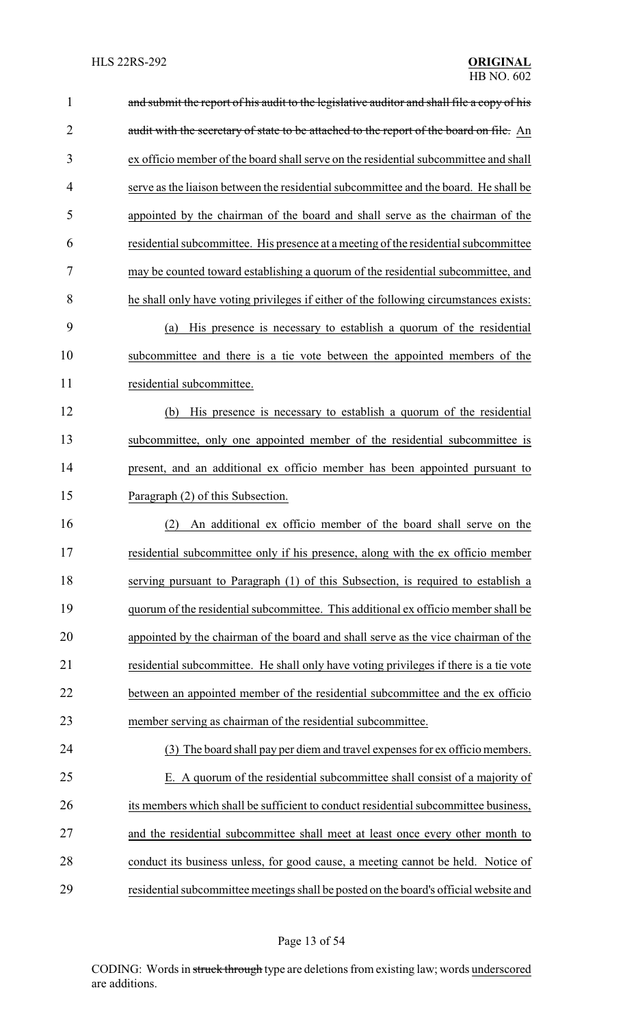| $\mathbf{1}$   | and submit the report of his audit to the legislative auditor and shall file a copy of his |
|----------------|--------------------------------------------------------------------------------------------|
| $\overline{2}$ | audit with the secretary of state to be attached to the report of the board on file. An    |
| 3              | ex officio member of the board shall serve on the residential subcommittee and shall       |
| 4              | serve as the liaison between the residential subcommittee and the board. He shall be       |
| 5              | appointed by the chairman of the board and shall serve as the chairman of the              |
| 6              | residential subcommittee. His presence at a meeting of the residential subcommittee        |
| 7              | may be counted toward establishing a quorum of the residential subcommittee, and           |
| 8              | he shall only have voting privileges if either of the following circumstances exists:      |
| 9              | His presence is necessary to establish a quorum of the residential<br>(a)                  |
| 10             | subcommittee and there is a tie vote between the appointed members of the                  |
| 11             | residential subcommittee.                                                                  |
| 12             | His presence is necessary to establish a quorum of the residential<br>(b)                  |
| 13             | subcommittee, only one appointed member of the residential subcommittee is                 |
| 14             | present, and an additional ex officio member has been appointed pursuant to                |
| 15             | Paragraph (2) of this Subsection.                                                          |
| 16             | An additional ex officio member of the board shall serve on the<br>(2)                     |
| 17             | residential subcommittee only if his presence, along with the ex officio member            |
| 18             | serving pursuant to Paragraph (1) of this Subsection, is required to establish a           |
| 19             | quorum of the residential subcommittee. This additional ex officio member shall be         |
| 20             | appointed by the chairman of the board and shall serve as the vice chairman of the         |
| 21             | residential subcommittee. He shall only have voting privileges if there is a tie vote      |
| 22             | between an appointed member of the residential subcommittee and the ex officio             |
| 23             | member serving as chairman of the residential subcommittee.                                |
| 24             | The board shall pay per diem and travel expenses for ex officio members.<br>(3)            |
| 25             | E. A quorum of the residential subcommittee shall consist of a majority of                 |
| 26             | its members which shall be sufficient to conduct residential subcommittee business,        |
| 27             | and the residential subcommittee shall meet at least once every other month to             |
| 28             | conduct its business unless, for good cause, a meeting cannot be held. Notice of           |
| 29             | residential subcommittee meetings shall be posted on the board's official website and      |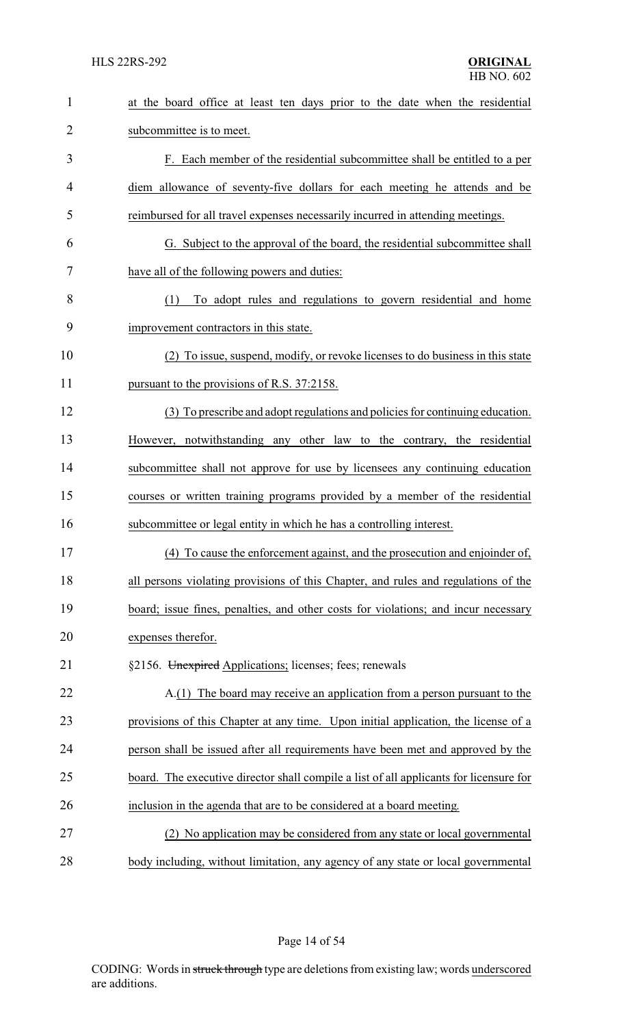| $\mathbf{1}$   | at the board office at least ten days prior to the date when the residential           |
|----------------|----------------------------------------------------------------------------------------|
| $\overline{2}$ | subcommittee is to meet.                                                               |
| 3              | F. Each member of the residential subcommittee shall be entitled to a per              |
| 4              | diem allowance of seventy-five dollars for each meeting he attends and be              |
| 5              | reimbursed for all travel expenses necessarily incurred in attending meetings.         |
| 6              | G. Subject to the approval of the board, the residential subcommittee shall            |
| 7              | have all of the following powers and duties:                                           |
| 8              | To adopt rules and regulations to govern residential and home<br>(1)                   |
| 9              | improvement contractors in this state.                                                 |
| 10             | (2) To issue, suspend, modify, or revoke licenses to do business in this state         |
| 11             | pursuant to the provisions of R.S. 37:2158.                                            |
| 12             | (3) To prescribe and adopt regulations and policies for continuing education.          |
| 13             | However, notwithstanding any other law to the contrary, the residential                |
| 14             | subcommittee shall not approve for use by licensees any continuing education           |
| 15             | courses or written training programs provided by a member of the residential           |
| 16             | subcommittee or legal entity in which he has a controlling interest.                   |
| 17             | (4) To cause the enforcement against, and the prosecution and enjoinder of,            |
| 18             | all persons violating provisions of this Chapter, and rules and regulations of the     |
| 19             | board; issue fines, penalties, and other costs for violations; and incur necessary     |
| 20             | expenses therefor.                                                                     |
| 21             | §2156. Unexpired Applications; licenses; fees; renewals                                |
| 22             | A.(1) The board may receive an application from a person pursuant to the               |
| 23             | provisions of this Chapter at any time. Upon initial application, the license of a     |
| 24             | person shall be issued after all requirements have been met and approved by the        |
| 25             | board. The executive director shall compile a list of all applicants for licensure for |
| 26             | inclusion in the agenda that are to be considered at a board meeting.                  |
| 27             | (2) No application may be considered from any state or local governmental              |
| 28             | body including, without limitation, any agency of any state or local governmental      |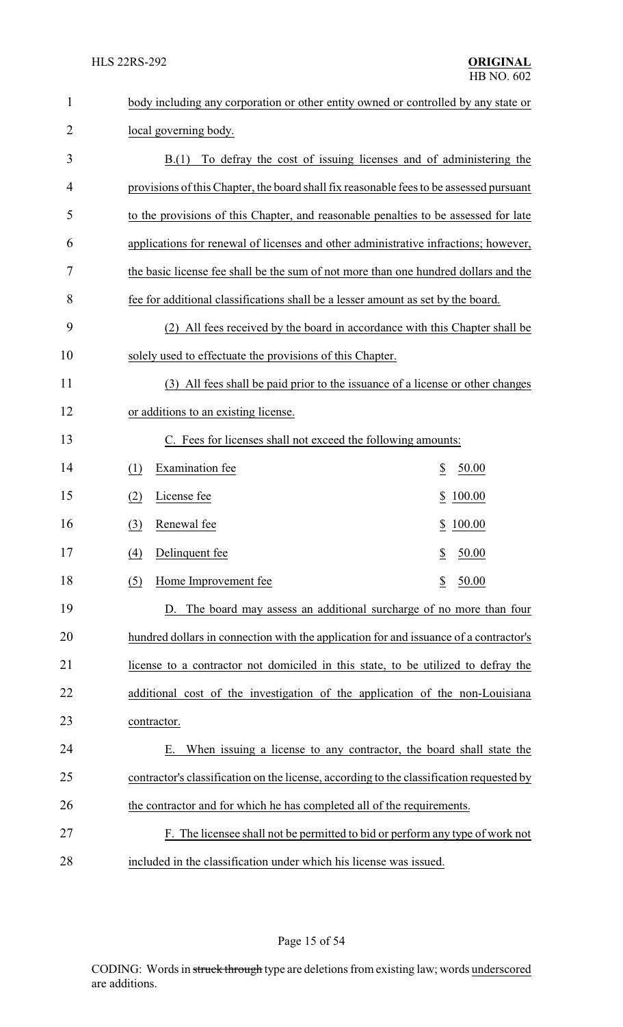| $\mathbf{1}$   | body including any corporation or other entity owned or controlled by any state or       |
|----------------|------------------------------------------------------------------------------------------|
| $\overline{2}$ | local governing body.                                                                    |
| 3              | To defray the cost of issuing licenses and of administering the<br>B(1)                  |
| 4              | provisions of this Chapter, the board shall fix reasonable fees to be assessed pursuant  |
| 5              | to the provisions of this Chapter, and reasonable penalties to be assessed for late      |
| 6              | applications for renewal of licenses and other administrative infractions; however,      |
| 7              | the basic license fee shall be the sum of not more than one hundred dollars and the      |
| 8              | fee for additional classifications shall be a lesser amount as set by the board.         |
| 9              | All fees received by the board in accordance with this Chapter shall be<br>(2)           |
| 10             | solely used to effectuate the provisions of this Chapter.                                |
| 11             | (3) All fees shall be paid prior to the issuance of a license or other changes           |
| 12             | or additions to an existing license.                                                     |
| 13             | C. Fees for licenses shall not exceed the following amounts:                             |
| 14             | Examination fee<br>\$<br>50.00<br>(1)                                                    |
| 15             | License fee<br><u>100.00</u><br>(2)<br>\$                                                |
| 16             | Renewal fee<br>(3)<br>100.00<br>\$                                                       |
| 17             | $\underline{(4)}$<br>Delinquent fee<br>\$ 50.00                                          |
| 18             | $\overline{\mathcal{E}}$<br>50.00<br>Home Improvement fee<br>(5)                         |
| 19             | D. The board may assess an additional surcharge of no more than four                     |
| 20             | hundred dollars in connection with the application for and issuance of a contractor's    |
| 21             | license to a contractor not domiciled in this state, to be utilized to defray the        |
| 22             | additional cost of the investigation of the application of the non-Louisiana             |
| 23             | contractor.                                                                              |
| 24             | When issuing a license to any contractor, the board shall state the<br>Е.                |
| 25             | contractor's classification on the license, according to the classification requested by |
| 26             | the contractor and for which he has completed all of the requirements.                   |
| 27             | F. The licensee shall not be permitted to bid or perform any type of work not            |
| 28             | included in the classification under which his license was issued.                       |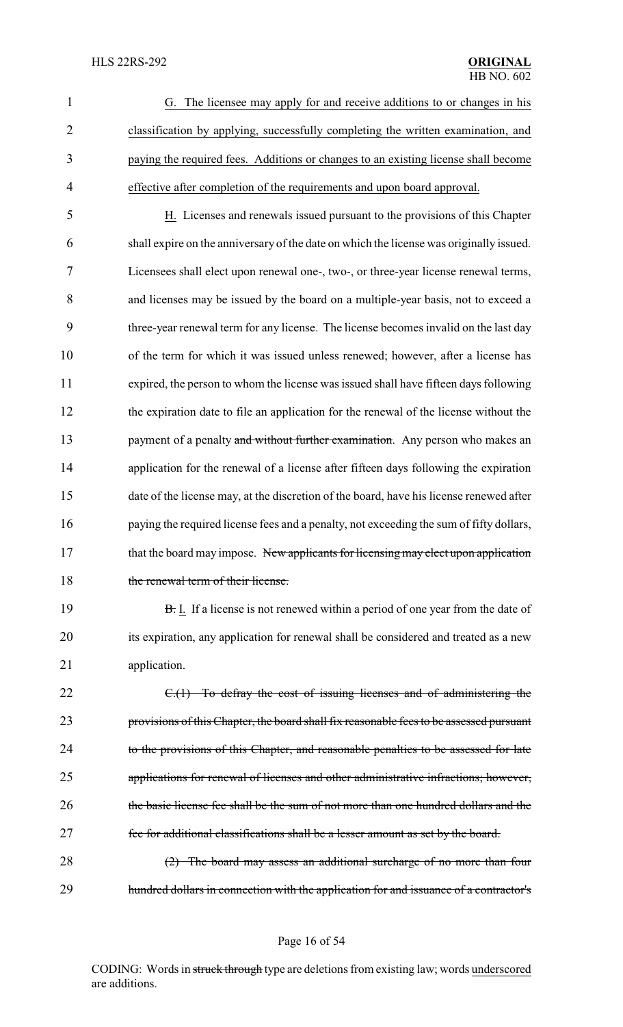| $\mathbf{1}$ | G. The licensee may apply for and receive additions to or changes in his           |
|--------------|------------------------------------------------------------------------------------|
|              | classification by applying, successfully completing the written examination, and   |
| 3            | paying the required fees. Additions or changes to an existing license shall become |
| 4            | effective after completion of the requirements and upon board approval.            |

 H. Licenses and renewals issued pursuant to the provisions of this Chapter shall expire on the anniversary of the date on which the license was originally issued. Licensees shall elect upon renewal one-, two-, or three-year license renewal terms, and licenses may be issued by the board on a multiple-year basis, not to exceed a three-year renewal term for any license. The license becomes invalid on the last day of the term for which it was issued unless renewed; however, after a license has expired, the person to whom the license was issued shall have fifteen days following the expiration date to file an application for the renewal of the license without the 13 payment of a penalty and without further examination. Any person who makes an 14 application for the renewal of a license after fifteen days following the expiration date of the license may, at the discretion of the board, have his license renewed after paying the required license fees and a penalty, not exceeding the sum of fifty dollars, 17 that the board may impose. New applicants for licensing may elect upon application 18 the renewal term of their license.

19 **B.** I. If a license is not renewed within a period of one year from the date of 20 its expiration, any application for renewal shall be considered and treated as a new 21 application.

22 C.(1) To defray the cost of issuing licenses and of administering the 23 provisions of this Chapter, the board shall fix reasonable fees to be assessed pursuant 24 to the provisions of this Chapter, and reasonable penalties to be assessed for late 25 applications for renewal of licenses and other administrative infractions; however, 26 the basic license fee shall be the sum of not more than one hundred dollars and the 27 fee for additional classifications shall be a lesser amount as set by the board.

28 (2) The board may assess an additional surcharge of no more than four 29 hundred dollars in connection with the application for and issuance of a contractor's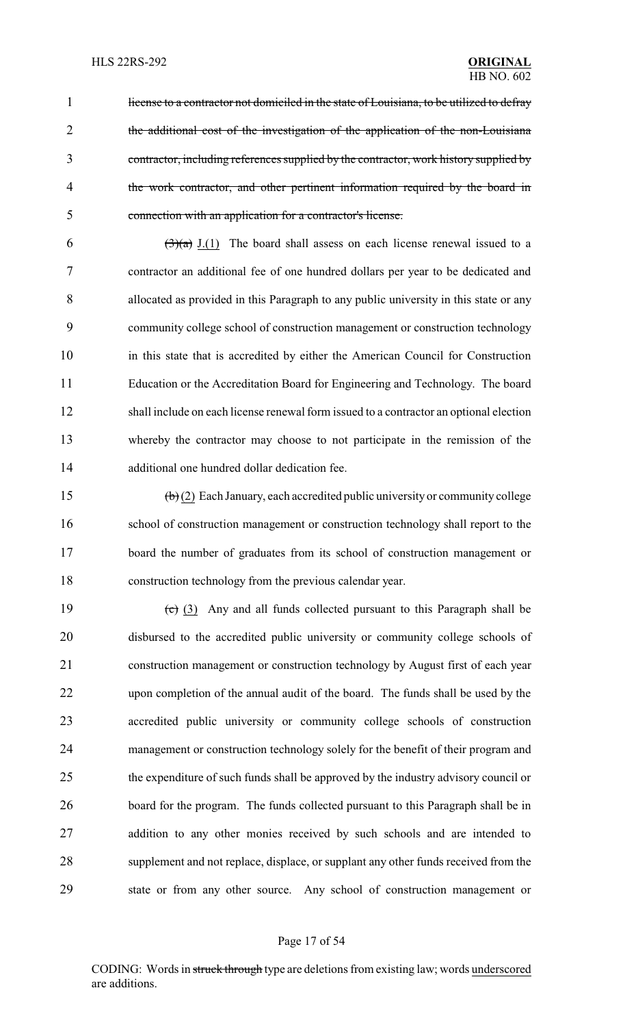1 license to a contractor not domiciled in the state of Louisiana, to be utilized to defray the additional cost of the investigation of the application of the non-Louisiana contractor, including references supplied by the contractor, work history supplied by 4 the work contractor, and other pertinent information required by the board in connection with an application for a contractor's license.

 $(3)(a)$  J.(1) The board shall assess on each license renewal issued to a contractor an additional fee of one hundred dollars per year to be dedicated and allocated as provided in this Paragraph to any public university in this state or any community college school of construction management or construction technology in this state that is accredited by either the American Council for Construction Education or the Accreditation Board for Engineering and Technology. The board shall include on each license renewal form issued to a contractor an optional election whereby the contractor may choose to not participate in the remission of the additional one hundred dollar dedication fee.

 (b) (2) Each January, each accredited public university or community college school of construction management or construction technology shall report to the board the number of graduates from its school of construction management or construction technology from the previous calendar year.

 $\left(\frac{c}{c}\right)$  (3) Any and all funds collected pursuant to this Paragraph shall be disbursed to the accredited public university or community college schools of construction management or construction technology by August first of each year upon completion of the annual audit of the board. The funds shall be used by the accredited public university or community college schools of construction management or construction technology solely for the benefit of their program and the expenditure of such funds shall be approved by the industry advisory council or board for the program. The funds collected pursuant to this Paragraph shall be in addition to any other monies received by such schools and are intended to supplement and not replace, displace, or supplant any other funds received from the state or from any other source. Any school of construction management or

#### Page 17 of 54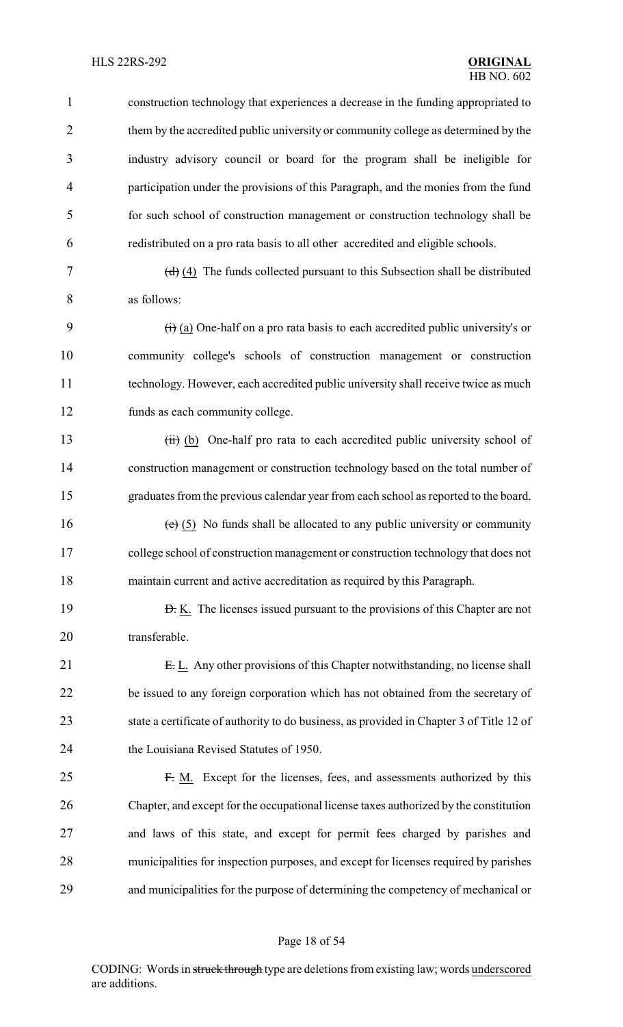#### HLS 22RS-292 **ORIGINAL**

 construction technology that experiences a decrease in the funding appropriated to them by the accredited public university or community college as determined by the industry advisory council or board for the program shall be ineligible for participation under the provisions of this Paragraph, and the monies from the fund for such school of construction management or construction technology shall be redistributed on a pro rata basis to all other accredited and eligible schools.

7  $(d)$   $(4)$  The funds collected pursuant to this Subsection shall be distributed as follows:

 $\left(\frac{1}{1}\right)$  (a) One-half on a pro rata basis to each accredited public university's or community college's schools of construction management or construction technology. However, each accredited public university shall receive twice as much funds as each community college.

13 (iii) (b) One-half pro rata to each accredited public university school of construction management or construction technology based on the total number of graduates from the previous calendar year from each school as reported to the board.

16 (e)  $(5)$  No funds shall be allocated to any public university or community college school of construction management or construction technology that does not maintain current and active accreditation as required by this Paragraph.

**D.** K. The licenses issued pursuant to the provisions of this Chapter are not transferable.

21 E. L. Any other provisions of this Chapter notwithstanding, no license shall be issued to any foreign corporation which has not obtained from the secretary of state a certificate of authority to do business, as provided in Chapter 3 of Title 12 of the Louisiana Revised Statutes of 1950.

 F. M. Except for the licenses, fees, and assessments authorized by this Chapter, and except for the occupational license taxes authorized by the constitution and laws of this state, and except for permit fees charged by parishes and municipalities for inspection purposes, and except for licenses required by parishes and municipalities for the purpose of determining the competency of mechanical or

#### Page 18 of 54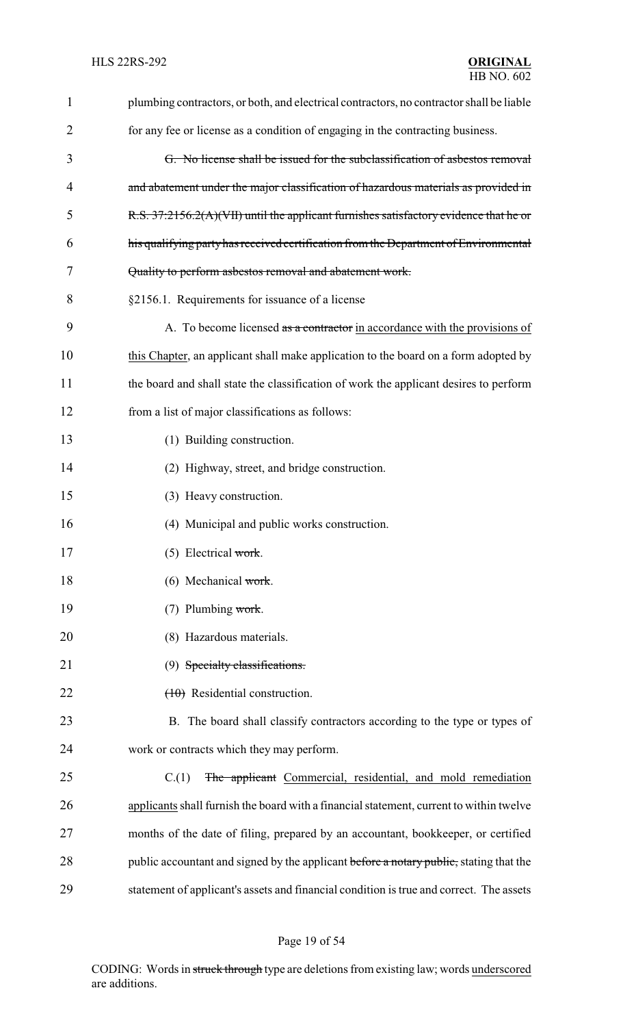| $\mathbf{1}$   | plumbing contractors, or both, and electrical contractors, no contractor shall be liable |
|----------------|------------------------------------------------------------------------------------------|
| $\overline{2}$ | for any fee or license as a condition of engaging in the contracting business.           |
| 3              | G. No license shall be issued for the subclassification of asbestos removal              |
| 4              | and abatement under the major classification of hazardous materials as provided in       |
| 5              | R.S. 37:2156.2(A)(VII) until the applicant furnishes satisfactory evidence that he or    |
| 6              | his qualifying party has received certification from the Department of Environmental     |
| 7              | Quality to perform asbestos removal and abatement work.                                  |
| 8              | §2156.1. Requirements for issuance of a license                                          |
| 9              | A. To become licensed as a contractor in accordance with the provisions of               |
| 10             | this Chapter, an applicant shall make application to the board on a form adopted by      |
| 11             | the board and shall state the classification of work the applicant desires to perform    |
| 12             | from a list of major classifications as follows:                                         |
| 13             | (1) Building construction.                                                               |
| 14             | (2) Highway, street, and bridge construction.                                            |
| 15             | (3) Heavy construction.                                                                  |
| 16             | (4) Municipal and public works construction.                                             |
| 17             | $(5)$ Electrical work.                                                                   |
| 18             | $(6)$ Mechanical work.                                                                   |
| 19             | $(7)$ Plumbing work.                                                                     |
| 20             | (8) Hazardous materials.                                                                 |
| 21             | (9) Specialty classifications.                                                           |
| 22             | $(10)$ Residential construction.                                                         |
| 23             | B. The board shall classify contractors according to the type or types of                |
| 24             | work or contracts which they may perform.                                                |
| 25             | The applicant Commercial, residential, and mold remediation<br>C.(1)                     |
| 26             | applicants shall furnish the board with a financial statement, current to within twelve  |
| 27             | months of the date of filing, prepared by an accountant, bookkeeper, or certified        |
| 28             | public accountant and signed by the applicant before a notary public, stating that the   |
| 29             | statement of applicant's assets and financial condition is true and correct. The assets  |

# Page 19 of 54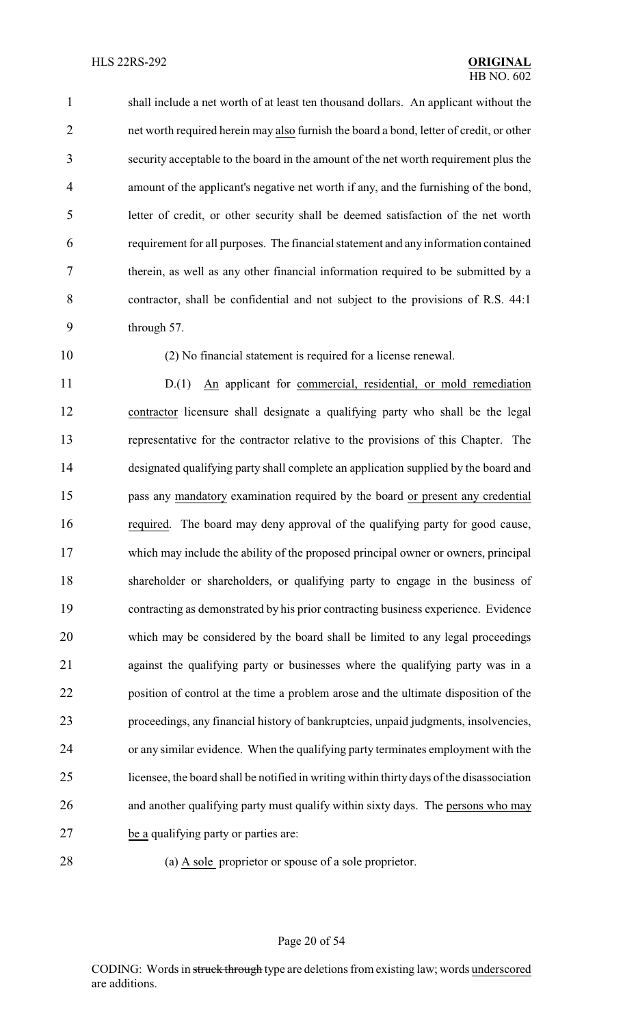shall include a net worth of at least ten thousand dollars. An applicant without the net worth required herein may also furnish the board a bond, letter of credit, or other security acceptable to the board in the amount of the net worth requirement plus the amount of the applicant's negative net worth if any, and the furnishing of the bond, letter of credit, or other security shall be deemed satisfaction of the net worth requirement for all purposes. The financial statement and any information contained therein, as well as any other financial information required to be submitted by a contractor, shall be confidential and not subject to the provisions of R.S. 44:1 through 57.

(2) No financial statement is required for a license renewal.

 D.(1) An applicant for commercial, residential, or mold remediation contractor licensure shall designate a qualifying party who shall be the legal representative for the contractor relative to the provisions of this Chapter. The designated qualifying party shall complete an application supplied by the board and pass any mandatory examination required by the board or present any credential required. The board may deny approval of the qualifying party for good cause, which may include the ability of the proposed principal owner or owners, principal shareholder or shareholders, or qualifying party to engage in the business of contracting as demonstrated by his prior contracting business experience. Evidence which may be considered by the board shall be limited to any legal proceedings against the qualifying party or businesses where the qualifying party was in a position of control at the time a problem arose and the ultimate disposition of the proceedings, any financial history of bankruptcies, unpaid judgments, insolvencies, or any similar evidence. When the qualifying party terminates employment with the licensee, the board shall be notified in writing within thirty days of the disassociation and another qualifying party must qualify within sixty days. The persons who may be a qualifying party or parties are:

(a) A sole proprietor or spouse of a sole proprietor.

Page 20 of 54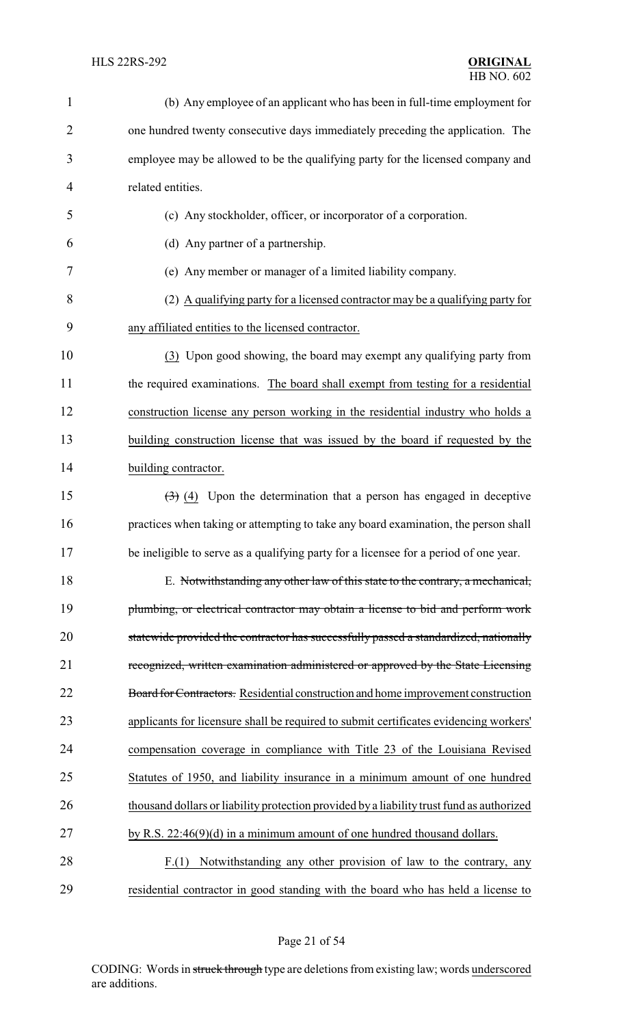| $\mathbf{1}$   | (b) Any employee of an applicant who has been in full-time employment for                    |
|----------------|----------------------------------------------------------------------------------------------|
| $\overline{2}$ | one hundred twenty consecutive days immediately preceding the application. The               |
| 3              | employee may be allowed to be the qualifying party for the licensed company and              |
| 4              | related entities.                                                                            |
| 5              | (c) Any stockholder, officer, or incorporator of a corporation.                              |
| 6              | (d) Any partner of a partnership.                                                            |
| 7              | (e) Any member or manager of a limited liability company.                                    |
| 8              | (2) A qualifying party for a licensed contractor may be a qualifying party for               |
| 9              | any affiliated entities to the licensed contractor.                                          |
| 10             | (3) Upon good showing, the board may exempt any qualifying party from                        |
| 11             | the required examinations. The board shall exempt from testing for a residential             |
| 12             | construction license any person working in the residential industry who holds a              |
| 13             | building construction license that was issued by the board if requested by the               |
| 14             | building contractor.                                                                         |
| 15             | $\left(\frac{1}{2}\right)$ (4) Upon the determination that a person has engaged in deceptive |
| 16             | practices when taking or attempting to take any board examination, the person shall          |
| 17             | be ineligible to serve as a qualifying party for a licensee for a period of one year.        |
| 18             | E. Notwithstanding any other law of this state to the contrary, a mechanical,                |
| 19             | plumbing, or electrical contractor may obtain a license to bid and perform work              |
| 20             | statewide provided the contractor has successfully passed a standardized, nationally         |
| 21             | recognized, written examination administered or approved by the State Licensing              |
| 22             | Board for Contractors. Residential construction and home improvement construction            |
| 23             | applicants for licensure shall be required to submit certificates evidencing workers'        |
| 24             | compensation coverage in compliance with Title 23 of the Louisiana Revised                   |
| 25             | Statutes of 1950, and liability insurance in a minimum amount of one hundred                 |
| 26             | thousand dollars or liability protection provided by a liability trust fund as authorized    |
| 27             | by R.S. $22:46(9)(d)$ in a minimum amount of one hundred thousand dollars.                   |
| 28             | Notwithstanding any other provision of law to the contrary, any<br>F(1)                      |
| 29             | residential contractor in good standing with the board who has held a license to             |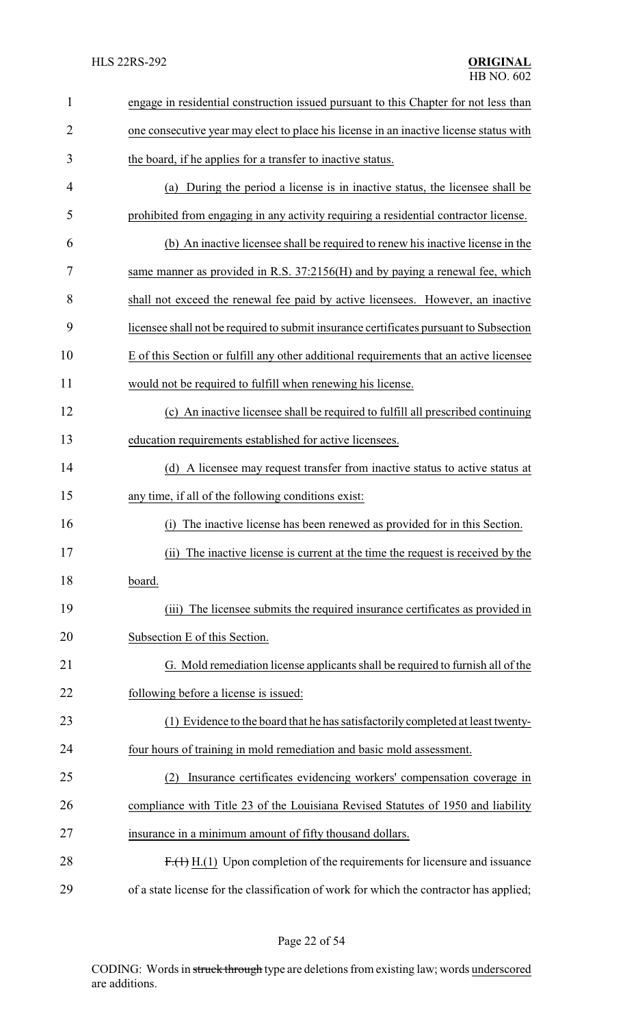| 1              | engage in residential construction issued pursuant to this Chapter for not less than    |
|----------------|-----------------------------------------------------------------------------------------|
| $\overline{2}$ | one consecutive year may elect to place his license in an inactive license status with  |
| 3              | the board, if he applies for a transfer to inactive status.                             |
| 4              | (a) During the period a license is in inactive status, the licensee shall be            |
| 5              | prohibited from engaging in any activity requiring a residential contractor license.    |
| 6              | (b) An inactive licensee shall be required to renew his inactive license in the         |
| 7              | same manner as provided in R.S. 37:2156(H) and by paying a renewal fee, which           |
| 8              | shall not exceed the renewal fee paid by active licensees. However, an inactive         |
| 9              | licensee shall not be required to submit insurance certificates pursuant to Subsection  |
| 10             | E of this Section or fulfill any other additional requirements that an active licensee  |
| 11             | would not be required to fulfill when renewing his license.                             |
| 12             | (c) An inactive licensee shall be required to fulfill all prescribed continuing         |
| 13             | education requirements established for active licensees.                                |
| 14             | (d) A licensee may request transfer from inactive status to active status at            |
| 15             | any time, if all of the following conditions exist:                                     |
| 16             | The inactive license has been renewed as provided for in this Section.<br>(i)           |
| 17             | (ii) The inactive license is current at the time the request is received by the         |
| 18             | board.                                                                                  |
| 19             | The licensee submits the required insurance certificates as provided in<br>(iii)        |
| 20             | Subsection E of this Section.                                                           |
| 21             | G. Mold remediation license applicants shall be required to furnish all of the          |
| 22             | following before a license is issued:                                                   |
| 23             | (1) Evidence to the board that he has satisfactorily completed at least twenty-         |
| 24             | four hours of training in mold remediation and basic mold assessment.                   |
| 25             | Insurance certificates evidencing workers' compensation coverage in                     |
| 26             | compliance with Title 23 of the Louisiana Revised Statutes of 1950 and liability        |
| 27             | insurance in a minimum amount of fifty thousand dollars.                                |
| 28             | $F1(1)$ H.(1) Upon completion of the requirements for licensure and issuance            |
| 29             | of a state license for the classification of work for which the contractor has applied; |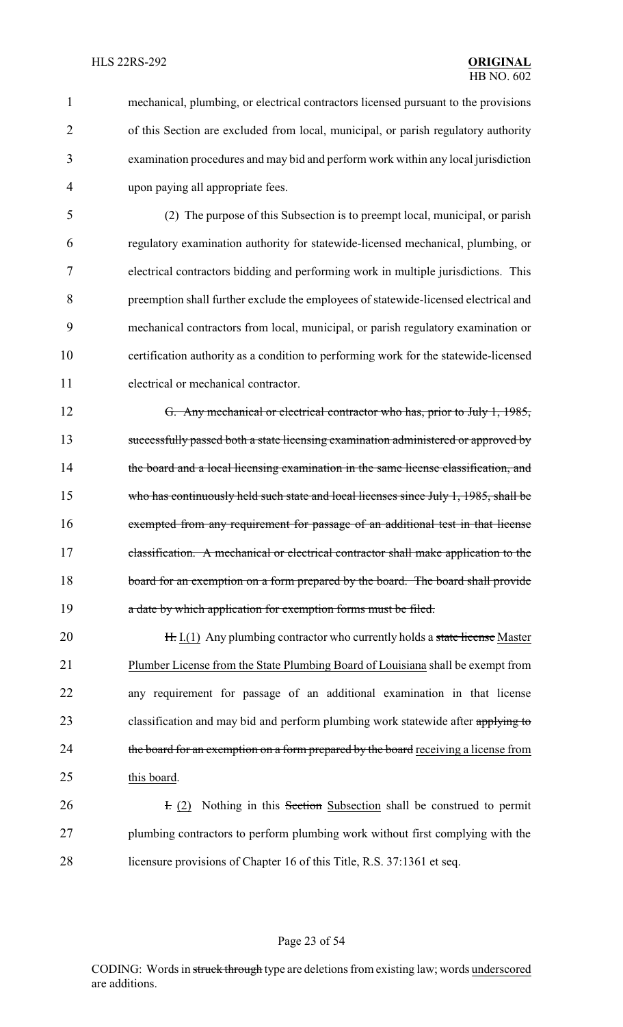mechanical, plumbing, or electrical contractors licensed pursuant to the provisions of this Section are excluded from local, municipal, or parish regulatory authority examination procedures and may bid and perform work within any local jurisdiction upon paying all appropriate fees.

 (2) The purpose of this Subsection is to preempt local, municipal, or parish regulatory examination authority for statewide-licensed mechanical, plumbing, or electrical contractors bidding and performing work in multiple jurisdictions. This preemption shall further exclude the employees of statewide-licensed electrical and mechanical contractors from local, municipal, or parish regulatory examination or certification authority as a condition to performing work for the statewide-licensed electrical or mechanical contractor.

 G. Any mechanical or electrical contractor who has, prior to July 1, 1985, successfully passed both a state licensing examination administered or approved by 14 the board and a local licensing examination in the same license classification, and 15 who has continuously held such state and local licenses since July 1, 1985, shall be exempted from any requirement for passage of an additional test in that license 17 classification. A mechanical or electrical contractor shall make application to the 18 board for an exemption on a form prepared by the board. The board shall provide **a** date by which application for exemption forms must be filed.

**H.** I.(1) Any plumbing contractor who currently holds a state license Master Plumber License from the State Plumbing Board of Louisiana shall be exempt from any requirement for passage of an additional examination in that license 23 classification and may bid and perform plumbing work statewide after applying to 24 the board for an exemption on a form prepared by the board receiving a license from this board.

**I.** (2) Nothing in this Section Subsection shall be construed to permit plumbing contractors to perform plumbing work without first complying with the licensure provisions of Chapter 16 of this Title, R.S. 37:1361 et seq.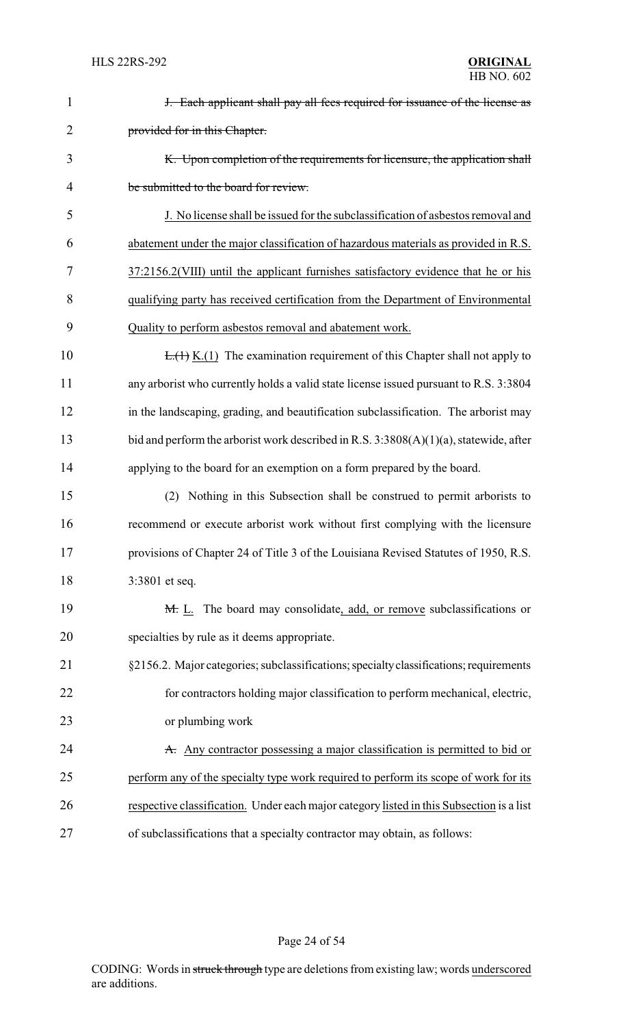| $\mathbf{1}$   | J. Each applicant shall pay all fees required for issuance of the license as             |
|----------------|------------------------------------------------------------------------------------------|
| $\overline{2}$ | provided for in this Chapter.                                                            |
| 3              | K. Upon completion of the requirements for licensure, the application shall              |
| $\overline{4}$ | be submitted to the board for review.                                                    |
| 5              | J. No license shall be issued for the subclassification of asbestos removal and          |
| 6              | abatement under the major classification of hazardous materials as provided in R.S.      |
| 7              | 37:2156.2(VIII) until the applicant furnishes satisfactory evidence that he or his       |
| 8              | qualifying party has received certification from the Department of Environmental         |
| 9              | Quality to perform asbestos removal and abatement work.                                  |
| 10             | $E_{\cdot}(1)$ K.(1) The examination requirement of this Chapter shall not apply to      |
| 11             | any arborist who currently holds a valid state license issued pursuant to R.S. 3:3804    |
| 12             | in the landscaping, grading, and beautification subclassification. The arborist may      |
| 13             | bid and perform the arborist work described in R.S. $3:3808(A)(1)(a)$ , statewide, after |
| 14             | applying to the board for an exemption on a form prepared by the board.                  |
| 15             | (2) Nothing in this Subsection shall be construed to permit arborists to                 |
| 16             | recommend or execute arborist work without first complying with the licensure            |
| 17             | provisions of Chapter 24 of Title 3 of the Louisiana Revised Statutes of 1950, R.S.      |
| 18             | 3:3801 et seq.                                                                           |
| 19             | M. L. The board may consolidate, add, or remove subclassifications or                    |
| 20             | specialties by rule as it deems appropriate.                                             |
| 21             | §2156.2. Major categories; subclassifications; specialty classifications; requirements   |
| 22             | for contractors holding major classification to perform mechanical, electric,            |
| 23             | or plumbing work                                                                         |
| 24             | A. Any contractor possessing a major classification is permitted to bid or               |
| 25             | perform any of the specialty type work required to perform its scope of work for its     |
| 26             | respective classification. Under each major category listed in this Subsection is a list |
| 27             | of subclassifications that a specialty contractor may obtain, as follows:                |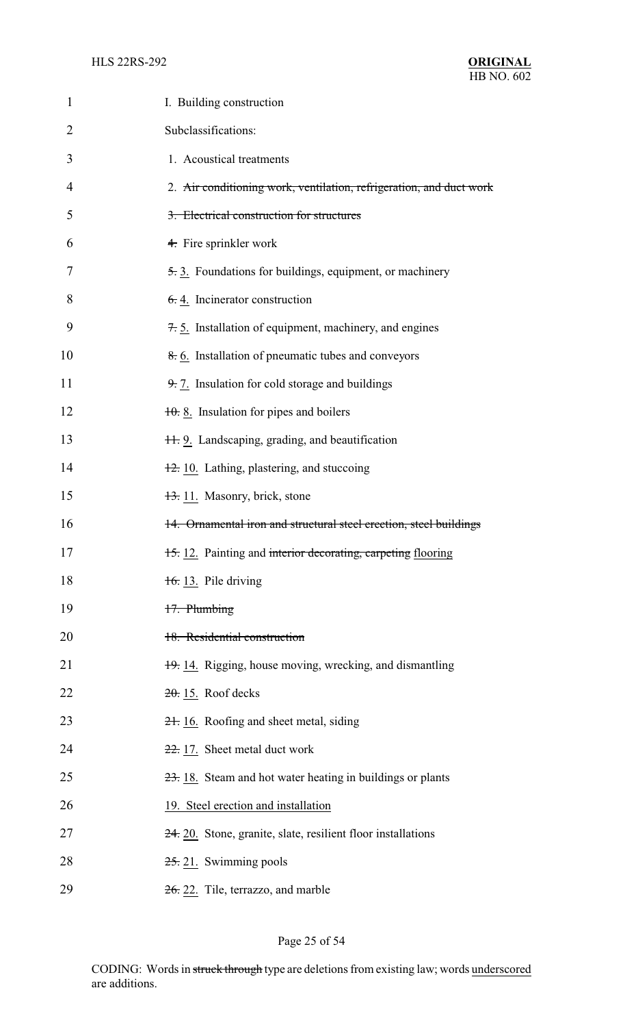| 1  | I. Building construction                                            |
|----|---------------------------------------------------------------------|
| 2  | Subclassifications:                                                 |
| 3  | 1. Acoustical treatments                                            |
| 4  | 2. Air conditioning work, ventilation, refrigeration, and duct work |
| 5  | 3. Electrical construction for structures                           |
| 6  | 4. Fire sprinkler work                                              |
| 7  | 5.3. Foundations for buildings, equipment, or machinery             |
| 8  | $6.4$ . Incinerator construction                                    |
| 9  | 7.5. Installation of equipment, machinery, and engines              |
| 10 | 8.6. Installation of pneumatic tubes and conveyors                  |
| 11 | $9.7$ . Insulation for cold storage and buildings                   |
| 12 | $\frac{10}{10}$ . 8. Insulation for pipes and boilers               |
| 13 | 11. 9. Landscaping, grading, and beautification                     |
| 14 | 12. 10. Lathing, plastering, and stuccoing                          |
| 15 | 13. 11. Masonry, brick, stone                                       |
| 16 | 14. Ornamental iron and structural steel erection, steel buildings  |
| 17 | 15. 12. Painting and interior decorating, carpeting flooring        |
| 18 | $16:13.$ Pile driving                                               |
| 19 | 17. Plumbing                                                        |
| 20 | 18. Residential construction                                        |
| 21 | 19. 14. Rigging, house moving, wrecking, and dismantling            |
| 22 | $20.15$ . Roof decks                                                |
| 23 | 21. 16. Roofing and sheet metal, siding                             |
| 24 | 22. 17. Sheet metal duct work                                       |
| 25 | $23.18$ . Steam and hot water heating in buildings or plants        |
| 26 | 19. Steel erection and installation                                 |
| 27 | $24.20$ . Stone, granite, slate, resilient floor installations      |
| 28 | $25.21$ . Swimming pools                                            |
| 29 | 26. 22. Tile, terrazzo, and marble                                  |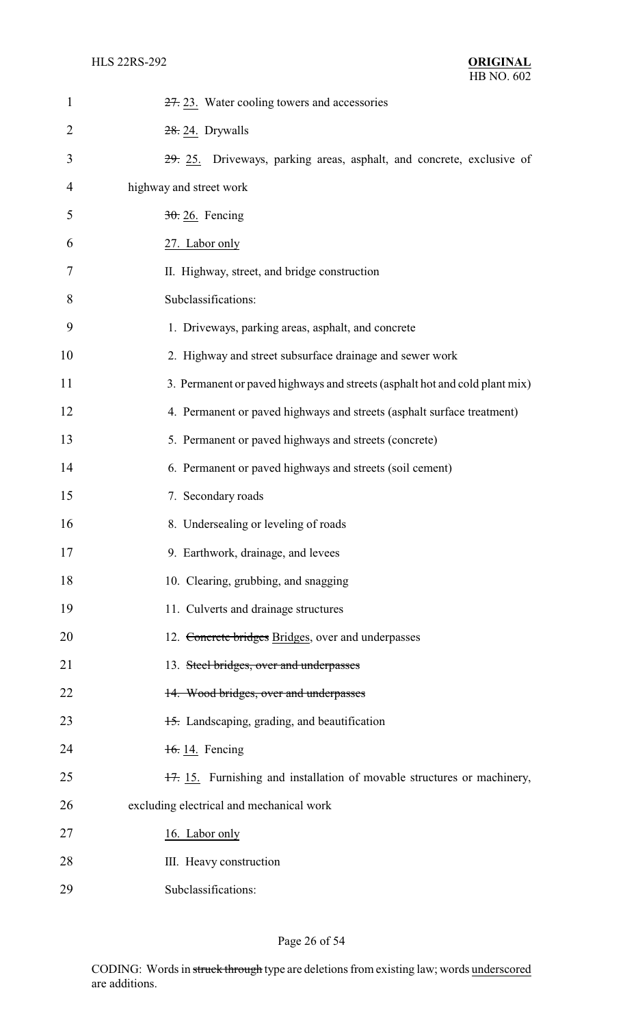| $\mathbf{1}$   | 27. 23. Water cooling towers and accessories                                |
|----------------|-----------------------------------------------------------------------------|
| $\overline{2}$ | 28. 24. Drywalls                                                            |
| 3              | 29. 25. Driveways, parking areas, asphalt, and concrete, exclusive of       |
| $\overline{4}$ | highway and street work                                                     |
| 5              | $30.26$ . Fencing                                                           |
| 6              | 27. Labor only                                                              |
| 7              | II. Highway, street, and bridge construction                                |
| 8              | Subclassifications:                                                         |
| 9              | 1. Driveways, parking areas, asphalt, and concrete                          |
| 10             | 2. Highway and street subsurface drainage and sewer work                    |
| 11             | 3. Permanent or paved highways and streets (asphalt hot and cold plant mix) |
| 12             | 4. Permanent or paved highways and streets (asphalt surface treatment)      |
| 13             | 5. Permanent or paved highways and streets (concrete)                       |
| 14             | 6. Permanent or paved highways and streets (soil cement)                    |
| 15             | 7. Secondary roads                                                          |
| 16             | 8. Undersealing or leveling of roads                                        |
| 17             | 9. Earthwork, drainage, and levees                                          |
| 18             | 10. Clearing, grubbing, and snagging                                        |
| 19             | 11. Culverts and drainage structures                                        |
| 20             | 12. Concrete bridges Bridges, over and underpasses                          |
| 21             | 13. Steel bridges, over and underpasses                                     |
| 22             | 14. Wood bridges, over and underpasses                                      |
| 23             | 15. Landscaping, grading, and beautification                                |
| 24             | 16.14. Fencing                                                              |
| 25             | 17. 15. Furnishing and installation of movable structures or machinery,     |
| 26             | excluding electrical and mechanical work                                    |
| 27             | 16. Labor only                                                              |
| 28             | III. Heavy construction                                                     |
| 29             | Subclassifications:                                                         |

# Page 26 of 54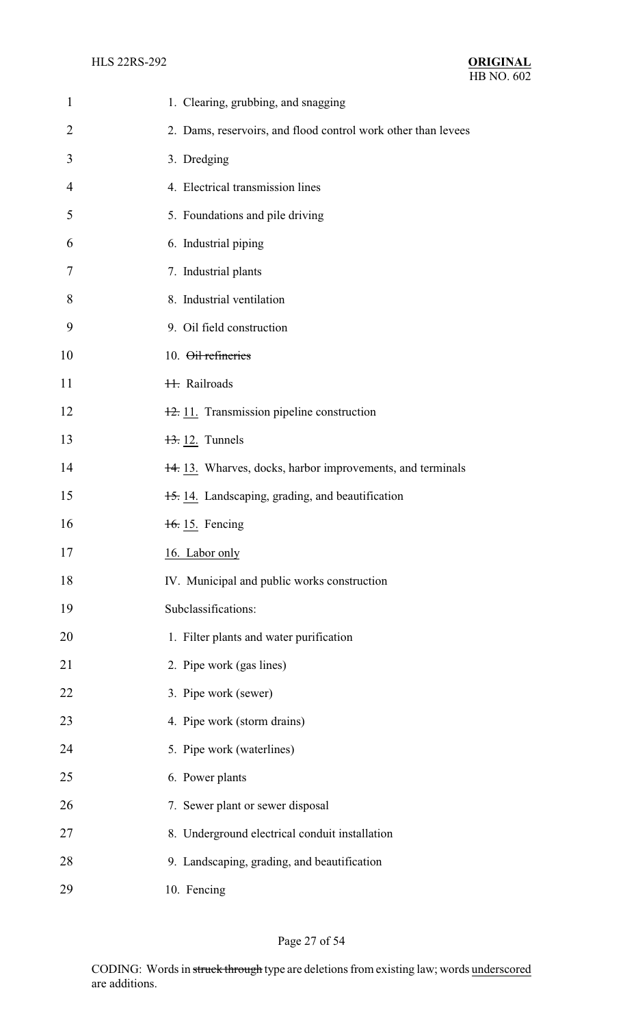| $\mathbf{1}$   | 1. Clearing, grubbing, and snagging                           |
|----------------|---------------------------------------------------------------|
| $\overline{2}$ | 2. Dams, reservoirs, and flood control work other than levees |
| 3              | 3. Dredging                                                   |
| $\overline{4}$ | 4. Electrical transmission lines                              |
| 5              | 5. Foundations and pile driving                               |
| 6              | 6. Industrial piping                                          |
| 7              | 7. Industrial plants                                          |
| 8              | 8. Industrial ventilation                                     |
| 9              | 9. Oil field construction                                     |
| 10             | 10. Oil refineries                                            |
| 11             | <b>H.</b> Railroads                                           |
| 12             | 12. 11. Transmission pipeline construction                    |
| 13             | $\frac{13}{2}$ 12. Tunnels                                    |
| 14             | 14.13. Wharves, docks, harbor improvements, and terminals     |
| 15             | 15. 14. Landscaping, grading, and beautification              |
| 16             | 16. 15. Fencing                                               |
| 17             | 16. Labor only                                                |
| 18             | IV. Municipal and public works construction                   |
| 19             | Subclassifications:                                           |
| 20             | 1. Filter plants and water purification                       |
| 21             | 2. Pipe work (gas lines)                                      |
| 22             | 3. Pipe work (sewer)                                          |
| 23             | 4. Pipe work (storm drains)                                   |
| 24             | 5. Pipe work (waterlines)                                     |
| 25             | 6. Power plants                                               |
| 26             | 7. Sewer plant or sewer disposal                              |
| 27             | 8. Underground electrical conduit installation                |
| 28             | 9. Landscaping, grading, and beautification                   |
| 29             | 10. Fencing                                                   |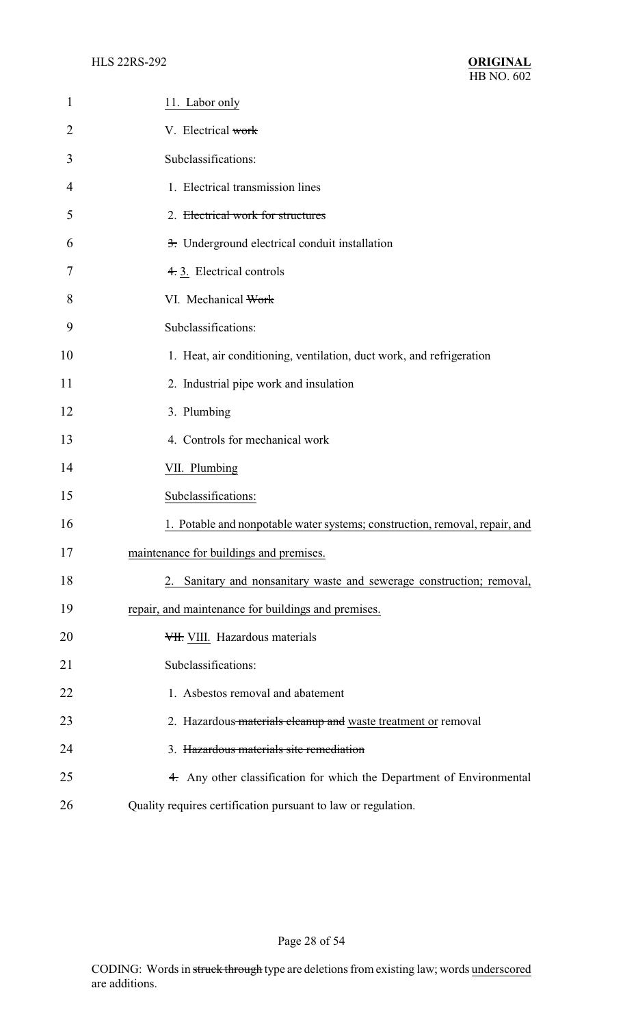| 1              | 11. Labor only                                                              |
|----------------|-----------------------------------------------------------------------------|
| $\overline{2}$ | V. Electrical work                                                          |
| 3              | Subclassifications:                                                         |
| 4              | 1. Electrical transmission lines                                            |
| 5              | 2. Electrical work for structures                                           |
| 6              | 3. Underground electrical conduit installation                              |
| 7              | 4. 3. Electrical controls                                                   |
| 8              | VI. Mechanical Work                                                         |
| 9              | Subclassifications:                                                         |
| 10             | 1. Heat, air conditioning, ventilation, duct work, and refrigeration        |
| 11             | 2. Industrial pipe work and insulation                                      |
| 12             | 3. Plumbing                                                                 |
| 13             | 4. Controls for mechanical work                                             |
| 14             | VII. Plumbing                                                               |
| 15             | Subclassifications:                                                         |
| 16             | 1. Potable and nonpotable water systems; construction, removal, repair, and |
| 17             | maintenance for buildings and premises.                                     |
| 18             | Sanitary and nonsanitary waste and sewerage construction; removal,          |
| 19             | repair, and maintenance for buildings and premises.                         |
| 20             | VII. VIII. Hazardous materials                                              |
| 21             | Subclassifications:                                                         |
| 22             | 1. Asbestos removal and abatement                                           |
| 23             | 2. Hazardous materials cleanup and waste treatment or removal               |
| 24             | 3. Hazardous materials site remediation                                     |
| 25             | 4. Any other classification for which the Department of Environmental       |
| 26             | Quality requires certification pursuant to law or regulation.               |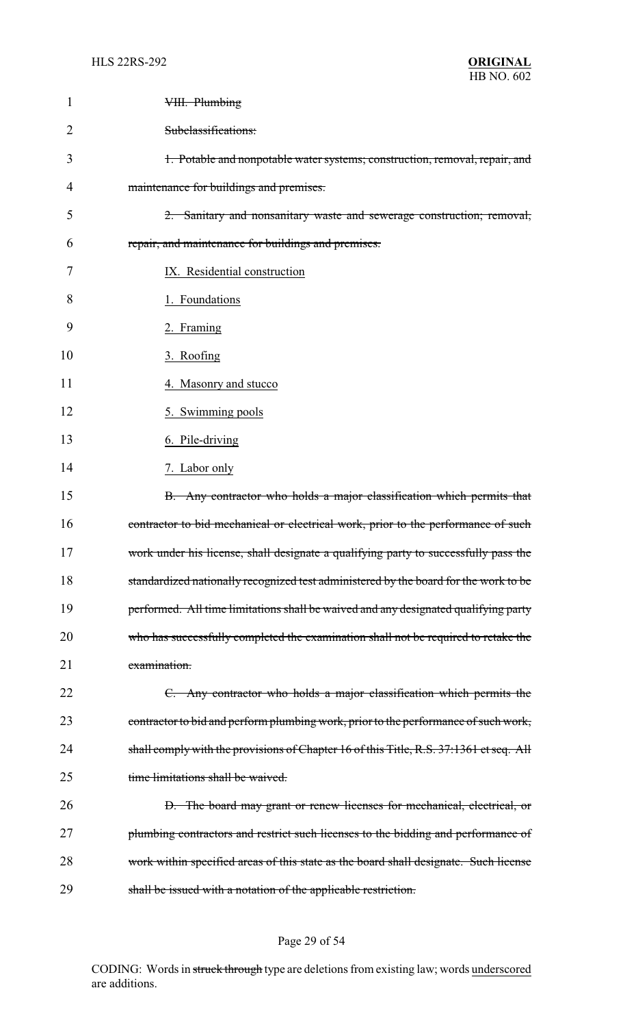| 1              | VIII. Plumbing                                                                         |
|----------------|----------------------------------------------------------------------------------------|
| $\overline{2}$ | Subclassifications:                                                                    |
| 3              | 1. Potable and nonpotable water systems; construction, removal, repair, and            |
| 4              | maintenance for buildings and premises.                                                |
| 5              | 2. Sanitary and nonsanitary waste and sewerage construction; removal,                  |
| 6              | repair, and maintenance for buildings and premises.                                    |
| 7              | IX. Residential construction                                                           |
| 8              | 1. Foundations                                                                         |
| 9              | 2. Framing                                                                             |
| 10             | 3. Roofing                                                                             |
| 11             | 4. Masonry and stucco                                                                  |
| 12             | 5. Swimming pools                                                                      |
| 13             | 6. Pile-driving                                                                        |
| 14             | 7. Labor only                                                                          |
| 15             | B. Any contractor who holds a major classification which permits that                  |
| 16             | contractor to bid mechanical or electrical work, prior to the performance of such      |
| 17             | work under his license, shall designate a qualifying party to successfully pass the    |
| 18             | standardized nationally recognized test administered by the board for the work to be   |
| 19             | performed. All time limitations shall be waived and any designated qualifying party    |
| 20             | who has successfully completed the examination shall not be required to retake the     |
| 21             | examination.                                                                           |
| 22             | C. Any contractor who holds a major classification which permits the                   |
| 23             | contractor to bid and perform plumbing work, prior to the performance of such work,    |
| 24             | shall comply with the provisions of Chapter 16 of this Title, R.S. 37:1361 et seq. All |
| 25             | time limitations shall be waived.                                                      |
| 26             | D. The board may grant or renew licenses for mechanical, electrical, or                |
| 27             | plumbing contractors and restrict such licenses to the bidding and performance of      |
| 28             | work within specified areas of this state as the board shall designate. Such license   |
| 29             | shall be issued with a notation of the applicable restriction.                         |

# Page 29 of 54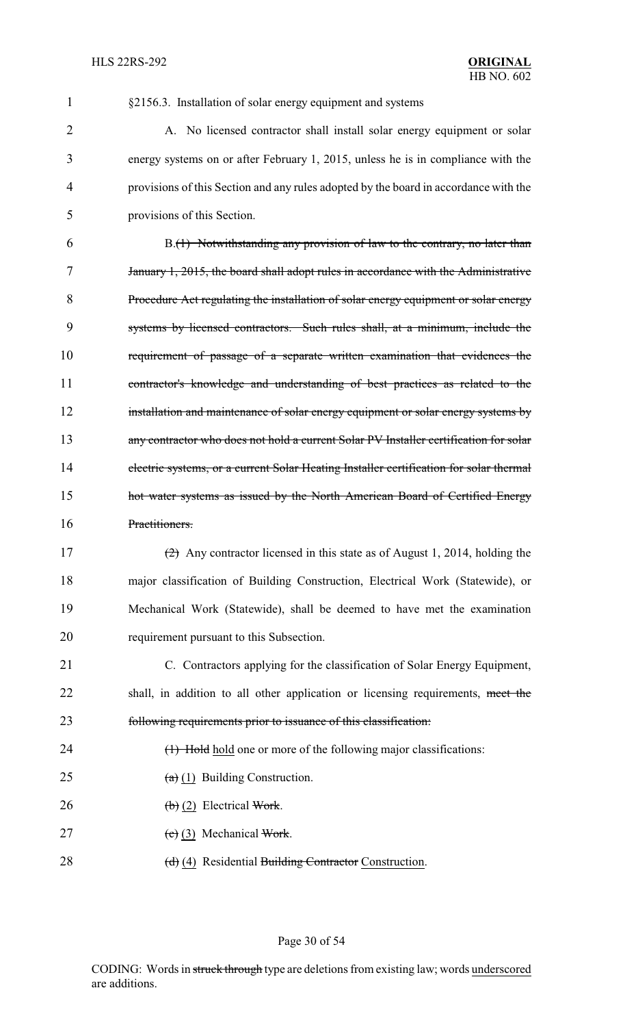§2156.3. Installation of solar energy equipment and systems

2 A. No licensed contractor shall install solar energy equipment or solar energy systems on or after February 1, 2015, unless he is in compliance with the provisions of this Section and any rules adopted by the board in accordance with the provisions of this Section.

 B.(1) Notwithstanding any provision of law to the contrary, no later than January 1, 2015, the board shall adopt rules in accordance with the Administrative Procedure Act regulating the installation of solar energy equipment or solar energy systems by licensed contractors. Such rules shall, at a minimum, include the requirement of passage of a separate written examination that evidences the contractor's knowledge and understanding of best practices as related to the 12 installation and maintenance of solar energy equipment or solar energy systems by any contractor who does not hold a current Solar PV Installer certification for solar electric systems, or a current Solar Heating Installer certification for solar thermal **hot water systems as issued by the North American Board of Certified Energy** Practitioners.

 (2) Any contractor licensed in this state as of August 1, 2014, holding the major classification of Building Construction, Electrical Work (Statewide), or Mechanical Work (Statewide), shall be deemed to have met the examination requirement pursuant to this Subsection.

 C. Contractors applying for the classification of Solar Energy Equipment, 22 shall, in addition to all other application or licensing requirements, meet the following requirements prior to issuance of this classification:

- 24 (1) Hold hold one or more of the following major classifications:
- 25  $(a)$  (1) Building Construction.
- 26 (b) (2) Electrical Work.
- 27 (c) (3) Mechanical Work.
- 28 (d) (4) Residential Building Contractor Construction.

### Page 30 of 54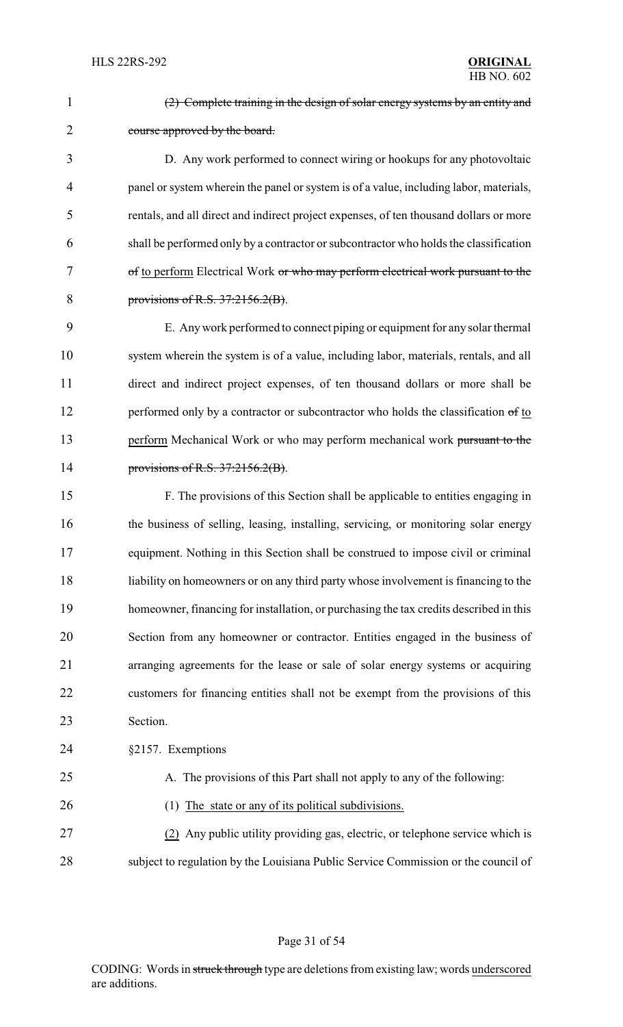| $\mathbf{1}$   | (2) Complete training in the design of solar energy systems by an entity and           |
|----------------|----------------------------------------------------------------------------------------|
| $\overline{2}$ | course approved by the board.                                                          |
| 3              | D. Any work performed to connect wiring or hookups for any photovoltaic                |
| 4              | panel or system wherein the panel or system is of a value, including labor, materials, |
| 5              | rentals, and all direct and indirect project expenses, of ten thousand dollars or more |
| 6              | shall be performed only by a contractor or subcontractor who holds the classification  |
| 7              | of to perform Electrical Work or who may perform electrical work pursuant to the       |
| 8              | provisions of R.S. $37:2156.2(B)$ .                                                    |
| 9              | E. Any work performed to connect piping or equipment for any solar thermal             |
| 10             | system wherein the system is of a value, including labor, materials, rentals, and all  |
| 11             | direct and indirect project expenses, of ten thousand dollars or more shall be         |
| 12             | performed only by a contractor or subcontractor who holds the classification of to     |
| 13             | perform Mechanical Work or who may perform mechanical work pursuant to the             |
| 14             | provisions of R.S. $37:2156.2(B)$ .                                                    |
| 15             | F. The provisions of this Section shall be applicable to entities engaging in          |
| 16             | the business of selling, leasing, installing, servicing, or monitoring solar energy    |
| 17             | equipment. Nothing in this Section shall be construed to impose civil or criminal      |
| 18             | liability on homeowners or on any third party whose involvement is financing to the    |
| 19             | homeowner, financing for installation, or purchasing the tax credits described in this |
| 20             | Section from any homeowner or contractor. Entities engaged in the business of          |
| 21             | arranging agreements for the lease or sale of solar energy systems or acquiring        |
| 22             | customers for financing entities shall not be exempt from the provisions of this       |
| 23             | Section.                                                                               |
| 24             | §2157. Exemptions                                                                      |
| 25             | A. The provisions of this Part shall not apply to any of the following:                |
| 26             | (1) The state or any of its political subdivisions.                                    |
| 27             | (2) Any public utility providing gas, electric, or telephone service which is          |
| 28             | subject to regulation by the Louisiana Public Service Commission or the council of     |
|                |                                                                                        |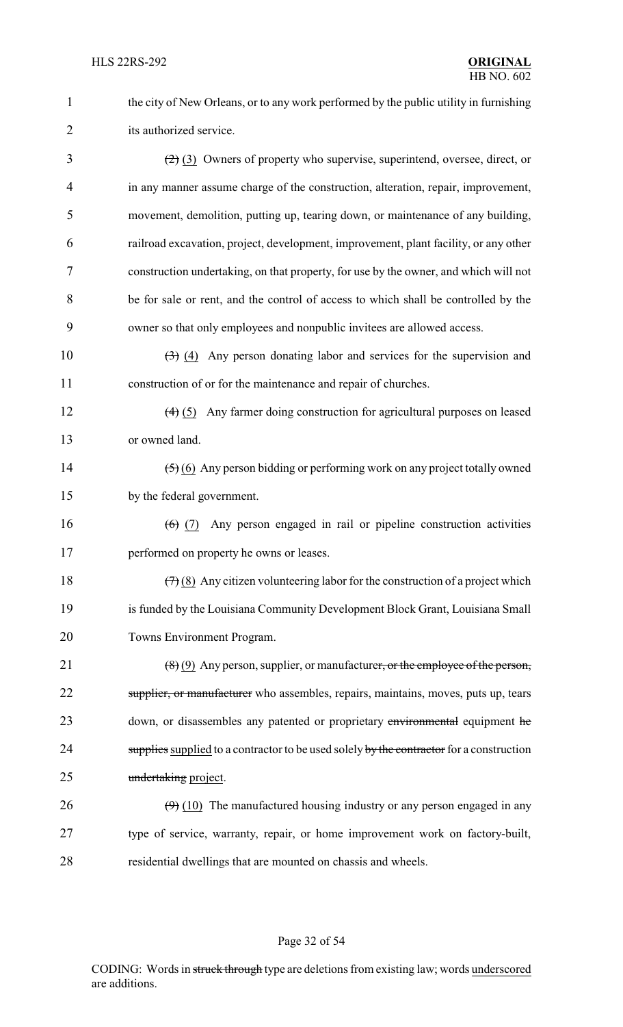1 the city of New Orleans, or to any work performed by the public utility in furnishing 2 its authorized service.

 $\left(\frac{2}{2}\right)$  (3) Owners of property who supervise, superintend, oversee, direct, or in any manner assume charge of the construction, alteration, repair, improvement, movement, demolition, putting up, tearing down, or maintenance of any building, railroad excavation, project, development, improvement, plant facility, or any other construction undertaking, on that property, for use by the owner, and which will not be for sale or rent, and the control of access to which shall be controlled by the owner so that only employees and nonpublic invitees are allowed access.

10  $\left(3\right)$  (4) Any person donating labor and services for the supervision and 11 construction of or for the maintenance and repair of churches.

12 (4) (5) Any farmer doing construction for agricultural purposes on leased 13 or owned land.

14 (5) (6) Any person bidding or performing work on any project totally owned 15 by the federal government.

16 (6) (7) Any person engaged in rail or pipeline construction activities 17 performed on property he owns or leases.

18  $(7)(8)$  Any citizen volunteering labor for the construction of a project which 19 is funded by the Louisiana Community Development Block Grant, Louisiana Small 20 Towns Environment Program.

21  $(8)(9)$  Any person, supplier, or manufacturer, or the employee of the person, 22 supplier, or manufacturer who assembles, repairs, maintains, moves, puts up, tears 23 down, or disassembles any patented or proprietary environmental equipment he 24 supplies supplied to a contractor to be used solely by the contractor for a construction 25 undertaking project.

26  $(9)$  (10) The manufactured housing industry or any person engaged in any 27 type of service, warranty, repair, or home improvement work on factory-built, 28 residential dwellings that are mounted on chassis and wheels.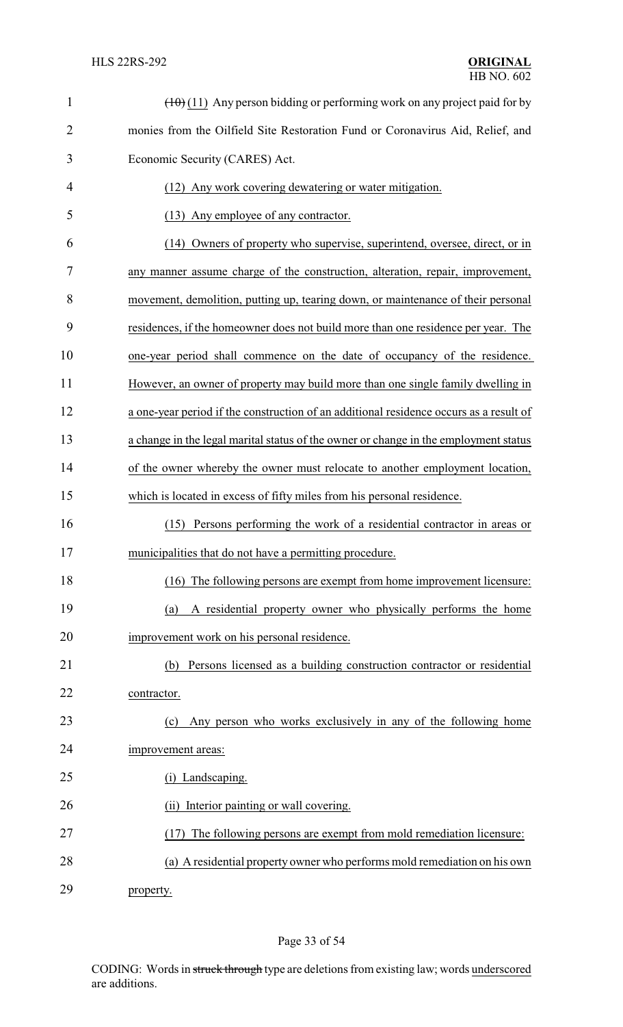| $\mathbf{1}$   | $(\pm 0)$ (11) Any person bidding or performing work on any project paid for by        |
|----------------|----------------------------------------------------------------------------------------|
| $\overline{2}$ | monies from the Oilfield Site Restoration Fund or Coronavirus Aid, Relief, and         |
| 3              | Economic Security (CARES) Act.                                                         |
| 4              | (12) Any work covering dewatering or water mitigation.                                 |
| 5              | (13) Any employee of any contractor.                                                   |
| 6              | (14) Owners of property who supervise, superintend, oversee, direct, or in             |
| 7              | any manner assume charge of the construction, alteration, repair, improvement,         |
| 8              | movement, demolition, putting up, tearing down, or maintenance of their personal       |
| 9              | residences, if the homeowner does not build more than one residence per year. The      |
| 10             | one-year period shall commence on the date of occupancy of the residence.              |
| 11             | However, an owner of property may build more than one single family dwelling in        |
| 12             | a one-year period if the construction of an additional residence occurs as a result of |
| 13             | a change in the legal marital status of the owner or change in the employment status   |
| 14             | of the owner whereby the owner must relocate to another employment location,           |
| 15             | which is located in excess of fifty miles from his personal residence.                 |
| 16             | Persons performing the work of a residential contractor in areas or<br>(15)            |
| 17             | municipalities that do not have a permitting procedure.                                |
| 18             | (16) The following persons are exempt from home improvement licensure:                 |
| 19             | A residential property owner who physically performs the home<br>(a)                   |
| 20             | improvement work on his personal residence.                                            |
| 21             | Persons licensed as a building construction contractor or residential<br>(b)           |
| 22             | contractor.                                                                            |
| 23             | Any person who works exclusively in any of the following home<br>(c)                   |
| 24             | improvement areas:                                                                     |
| 25             | (i) Landscaping.                                                                       |
| 26             | Interior painting or wall covering.<br>(ii)                                            |
| 27             | (17) The following persons are exempt from mold remediation licensure:                 |
| 28             | (a) A residential property owner who performs mold remediation on his own              |
| 29             | property.                                                                              |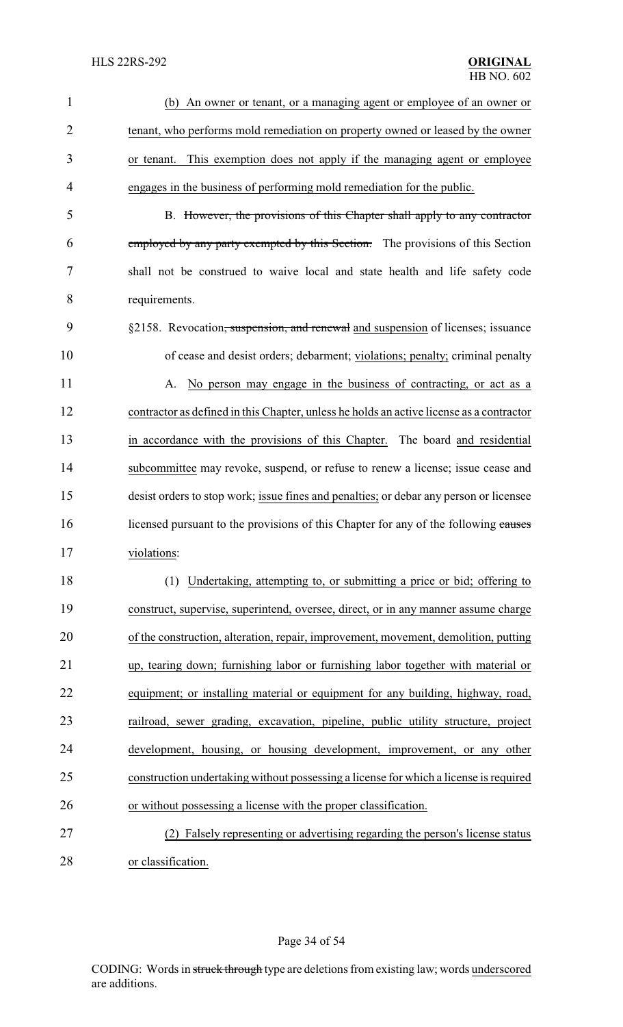| 1              | An owner or tenant, or a managing agent or employee of an owner or<br>(b)                   |
|----------------|---------------------------------------------------------------------------------------------|
| $\overline{2}$ | tenant, who performs mold remediation on property owned or leased by the owner              |
| 3              | or tenant. This exemption does not apply if the managing agent or employee                  |
| 4              | engages in the business of performing mold remediation for the public.                      |
| 5              | B. However, the provisions of this Chapter shall apply to any contractor                    |
| 6              | employed by any party exempted by this Section. The provisions of this Section              |
| 7              | shall not be construed to waive local and state health and life safety code                 |
| 8              | requirements.                                                                               |
| 9              | §2158. Revocation <del>, suspension, and renewal</del> and suspension of licenses; issuance |
| 10             | of cease and desist orders; debarment; violations; penalty; criminal penalty                |
| 11             | A. No person may engage in the business of contracting, or act as a                         |
| 12             | contractor as defined in this Chapter, unless he holds an active license as a contractor    |
| 13             | in accordance with the provisions of this Chapter. The board and residential                |
| 14             | subcommittee may revoke, suspend, or refuse to renew a license; issue cease and             |
| 15             | desist orders to stop work; issue fines and penalties; or debar any person or licensee      |
| 16             | licensed pursuant to the provisions of this Chapter for any of the following causes         |
| 17             | violations:                                                                                 |
| 18             | (1) Undertaking, attempting to, or submitting a price or bid; offering to                   |
| 19             | construct, supervise, superintend, oversee, direct, or in any manner assume charge          |
| 20             | of the construction, alteration, repair, improvement, movement, demolition, putting         |
| 21             | up, tearing down; furnishing labor or furnishing labor together with material or            |
| 22             | equipment; or installing material or equipment for any building, highway, road,             |
| 23             | railroad, sewer grading, excavation, pipeline, public utility structure, project            |
| 24             | development, housing, or housing development, improvement, or any other                     |
| 25             | construction undertaking without possessing a license for which a license is required       |
| 26             | or without possessing a license with the proper classification.                             |
| 27             | (2) Falsely representing or advertising regarding the person's license status               |
| 28             | or classification.                                                                          |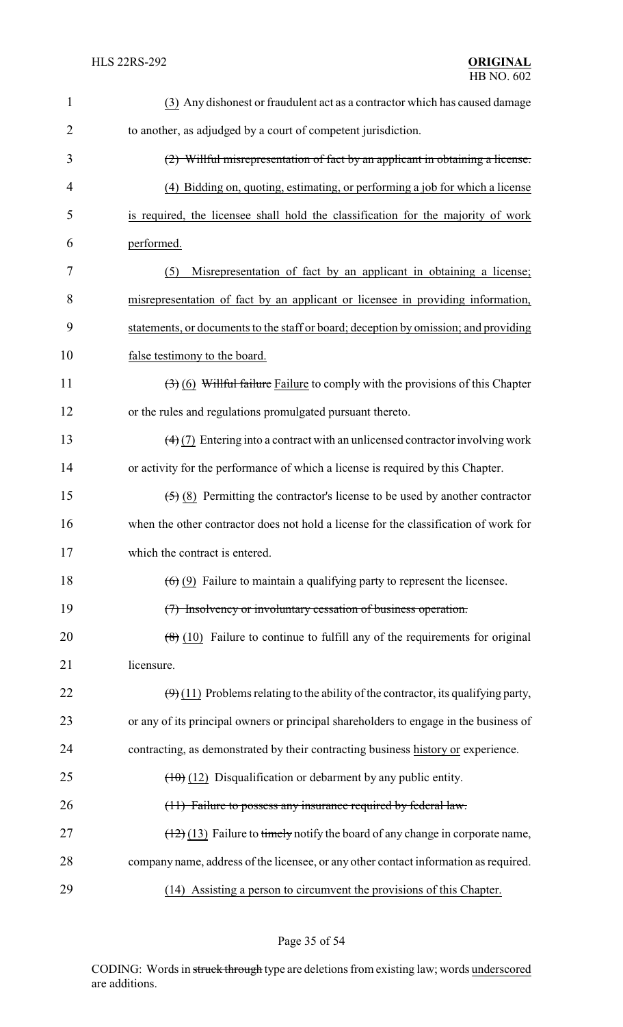| $\mathbf{1}$   | (3) Any dishonest or fraudulent act as a contractor which has caused damage                         |
|----------------|-----------------------------------------------------------------------------------------------------|
| $\overline{2}$ | to another, as adjudged by a court of competent jurisdiction.                                       |
| 3              | (2) Willful misrepresentation of fact by an applicant in obtaining a license.                       |
| 4              | (4) Bidding on, quoting, estimating, or performing a job for which a license                        |
| 5              | is required, the licensee shall hold the classification for the majority of work                    |
| 6              | performed.                                                                                          |
| 7              | Misrepresentation of fact by an applicant in obtaining a license;<br>(5)                            |
| 8              | misrepresentation of fact by an applicant or licensee in providing information,                     |
| 9              | statements, or documents to the staff or board; deception by omission; and providing                |
| 10             | false testimony to the board.                                                                       |
| 11             | $(3)$ (6) Willful failure Failure to comply with the provisions of this Chapter                     |
| 12             | or the rules and regulations promulgated pursuant thereto.                                          |
| 13             | $\left(\frac{4}{2}\right)$ Entering into a contract with an unlicensed contractor involving work    |
| 14             | or activity for the performance of which a license is required by this Chapter.                     |
| 15             | $\left(\frac{5}{5}\right)$ (8) Permitting the contractor's license to be used by another contractor |
| 16             | when the other contractor does not hold a license for the classification of work for                |
| 17             | which the contract is entered.                                                                      |
| 18             | $(6)$ (9) Failure to maintain a qualifying party to represent the licensee.                         |
| 19             | (7) Insolvency or involuntary cessation of business operation.                                      |
| 20             | $\left(\frac{8}{6}\right)$ (10) Failure to continue to fulfill any of the requirements for original |
| 21             | licensure.                                                                                          |
| 22             | $(\Theta)$ (11) Problems relating to the ability of the contractor, its qualifying party,           |
| 23             | or any of its principal owners or principal shareholders to engage in the business of               |
| 24             | contracting, as demonstrated by their contracting business history or experience.                   |
| 25             | $(10)(12)$ Disqualification or debarment by any public entity.                                      |
| 26             | (11) Failure to possess any insurance required by federal law.                                      |
| 27             | $(12)(13)$ Failure to timely notify the board of any change in corporate name,                      |
| 28             | company name, address of the licensee, or any other contact information as required.                |
| 29             | (14) Assisting a person to circumvent the provisions of this Chapter.                               |

Page 35 of 54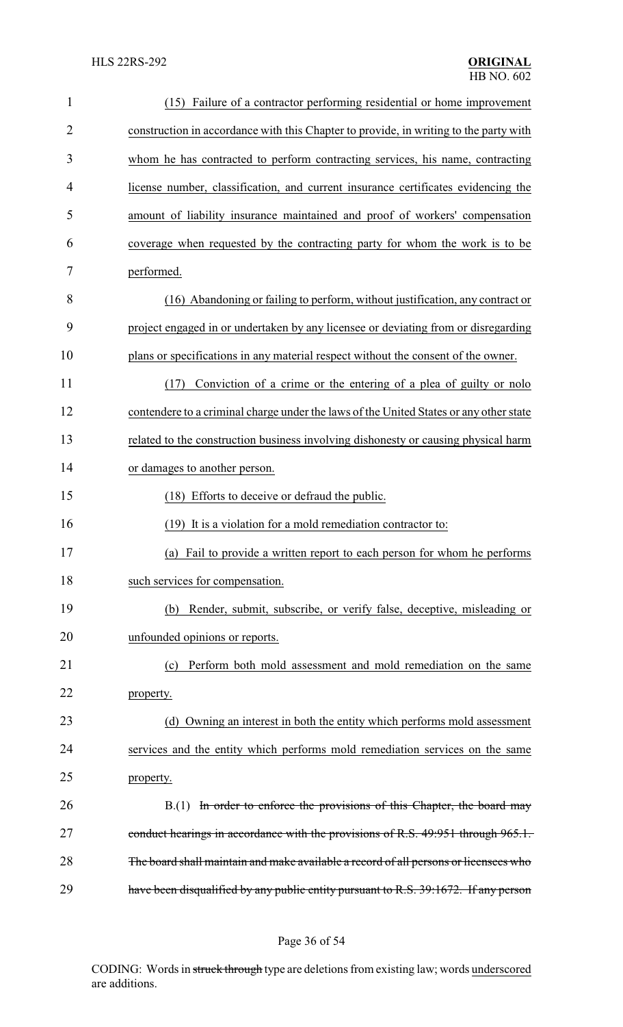| $\mathbf{1}$   | (15) Failure of a contractor performing residential or home improvement                |
|----------------|----------------------------------------------------------------------------------------|
| $\overline{2}$ | construction in accordance with this Chapter to provide, in writing to the party with  |
| 3              | whom he has contracted to perform contracting services, his name, contracting          |
| 4              | license number, classification, and current insurance certificates evidencing the      |
| 5              | amount of liability insurance maintained and proof of workers' compensation            |
| 6              | coverage when requested by the contracting party for whom the work is to be            |
| 7              | performed.                                                                             |
| 8              | (16) Abandoning or failing to perform, without justification, any contract or          |
| 9              | project engaged in or undertaken by any licensee or deviating from or disregarding     |
| 10             | plans or specifications in any material respect without the consent of the owner.      |
| 11             | Conviction of a crime or the entering of a plea of guilty or nolo<br>(17)              |
| 12             | contendere to a criminal charge under the laws of the United States or any other state |
| 13             | related to the construction business involving dishonesty or causing physical harm     |
| 14             | or damages to another person.                                                          |
| 15             | (18) Efforts to deceive or defraud the public.                                         |
| 16             | (19) It is a violation for a mold remediation contractor to:                           |
| 17             | (a) Fail to provide a written report to each person for whom he performs               |
| 18             | such services for compensation.                                                        |
| 19             | (b) Render, submit, subscribe, or verify false, deceptive, misleading or               |
| 20             | unfounded opinions or reports.                                                         |
| 21             | Perform both mold assessment and mold remediation on the same<br>(c)                   |
| 22             | property.                                                                              |
| 23             | (d) Owning an interest in both the entity which performs mold assessment               |
| 24             | services and the entity which performs mold remediation services on the same           |
| 25             | property.                                                                              |
| 26             | B.(1) In order to enforce the provisions of this Chapter, the board may                |
| 27             | conduct hearings in accordance with the provisions of R.S. 49:951 through 965.1.       |
| 28             | The board shall maintain and make available a record of all persons or licensees who   |
| 29             | have been disqualified by any public entity pursuant to R.S. 39:1672. If any person    |

# Page 36 of 54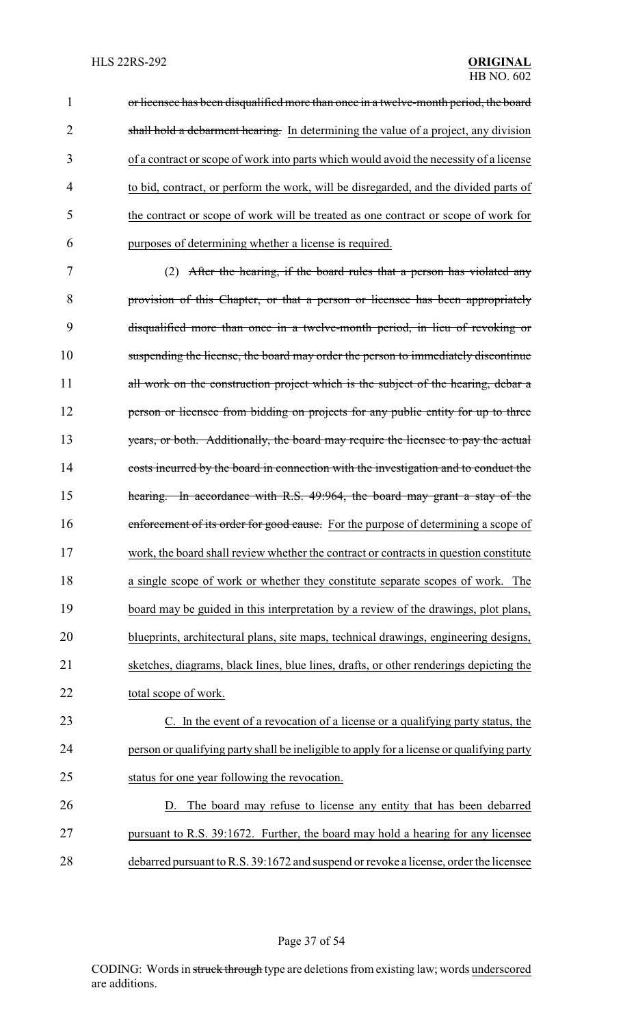or licensee has been disqualified more than once in a twelve-month period, the board 2 shall hold a debarment hearing. In determining the value of a project, any division of a contract or scope of work into parts which would avoid the necessity of a license to bid, contract, or perform the work, will be disregarded, and the divided parts of the contract or scope of work will be treated as one contract or scope of work for purposes of determining whether a license is required.

 (2) After the hearing, if the board rules that a person has violated any provision of this Chapter, or that a person or licensee has been appropriately disqualified more than once in a twelve-month period, in lieu of revoking or suspending the license, the board may order the person to immediately discontinue 11 all work on the construction project which is the subject of the hearing, debar a **person or licensee from bidding on projects for any public entity for up to three** 13 years, or both. Additionally, the board may require the licensee to pay the actual costs incurred by the board in connection with the investigation and to conduct the hearing. In accordance with R.S. 49:964, the board may grant a stay of the 16 enforcement of its order for good cause. For the purpose of determining a scope of work, the board shall review whether the contract or contracts in question constitute a single scope of work or whether they constitute separate scopes of work. The board may be guided in this interpretation by a review of the drawings, plot plans, blueprints, architectural plans, site maps, technical drawings, engineering designs, sketches, diagrams, black lines, blue lines, drafts, or other renderings depicting the total scope of work.

 C. In the event of a revocation of a license or a qualifying party status, the person or qualifying party shall be ineligible to apply for a license or qualifying party status for one year following the revocation.

 D. The board may refuse to license any entity that has been debarred pursuant to R.S. 39:1672. Further, the board may hold a hearing for any licensee debarred pursuant to R.S. 39:1672 and suspend or revoke a license, order the licensee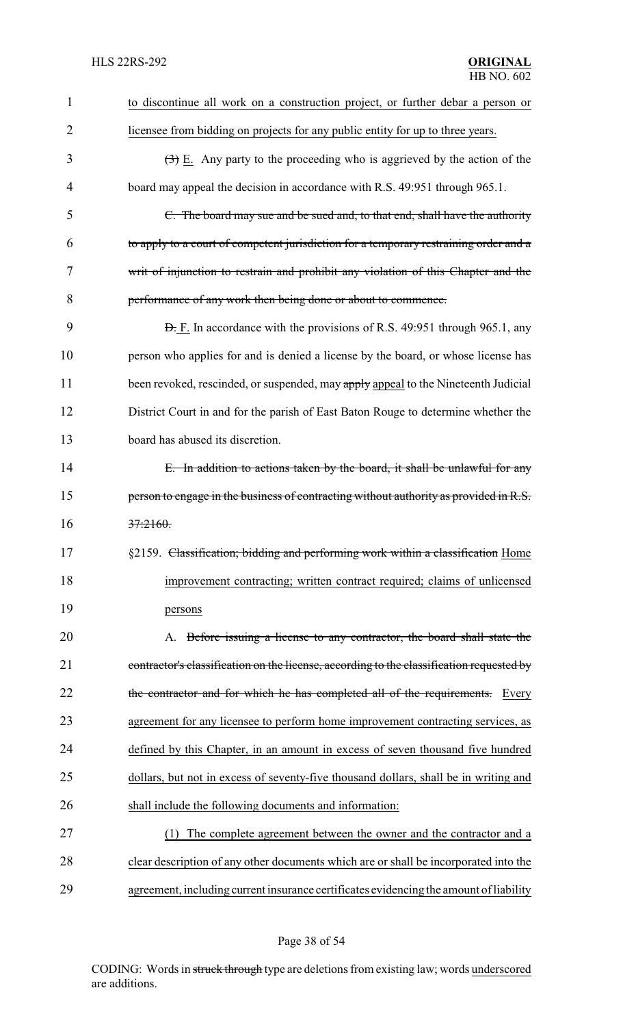| 1              | to discontinue all work on a construction project, or further debar a person or                 |
|----------------|-------------------------------------------------------------------------------------------------|
| $\overline{2}$ | licensee from bidding on projects for any public entity for up to three years.                  |
| 3              | $\left(\frac{1}{2}\right)$ E. Any party to the proceeding who is aggrieved by the action of the |
| 4              | board may appeal the decision in accordance with R.S. 49:951 through 965.1.                     |
| 5              | C. The board may sue and be sued and, to that end, shall have the authority                     |
| 6              | to apply to a court of competent jurisdiction for a temporary restraining order and a           |
| 7              | writ of injunction to restrain and prohibit any violation of this Chapter and the               |
| 8              | performance of any work then being done or about to commence.                                   |
| 9              | <b>D.</b> F. In accordance with the provisions of R.S. 49:951 through 965.1, any                |
| 10             | person who applies for and is denied a license by the board, or whose license has               |
| 11             | been revoked, rescinded, or suspended, may apply appeal to the Nineteenth Judicial              |
| 12             | District Court in and for the parish of East Baton Rouge to determine whether the               |
| 13             | board has abused its discretion.                                                                |
| 14             | E. In addition to actions taken by the board, it shall be unlawful for any                      |
| 15             | person to engage in the business of contracting without authority as provided in R.S.           |
| 16             | 37:2160.                                                                                        |
| 17             | §2159. Classification; bidding and performing work within a classification Home                 |
| 18             | improvement contracting; written contract required; claims of unlicensed                        |
| 19             | persons                                                                                         |
| 20             | A. Before issuing a license to any contractor, the board shall state the                        |
| 21             | contractor's classification on the license, according to the classification requested by        |
| 22             | the contractor and for which he has completed all of the requirements.<br>Every                 |
| 23             | agreement for any licensee to perform home improvement contracting services, as                 |
| 24             | defined by this Chapter, in an amount in excess of seven thousand five hundred                  |
| 25             | dollars, but not in excess of seventy-five thousand dollars, shall be in writing and            |
| 26             | shall include the following documents and information:                                          |
| 27             | The complete agreement between the owner and the contractor and a<br>(1)                        |
| 28             | clear description of any other documents which are or shall be incorporated into the            |
| 29             | agreement, including current insurance certificates evidencing the amount of liability          |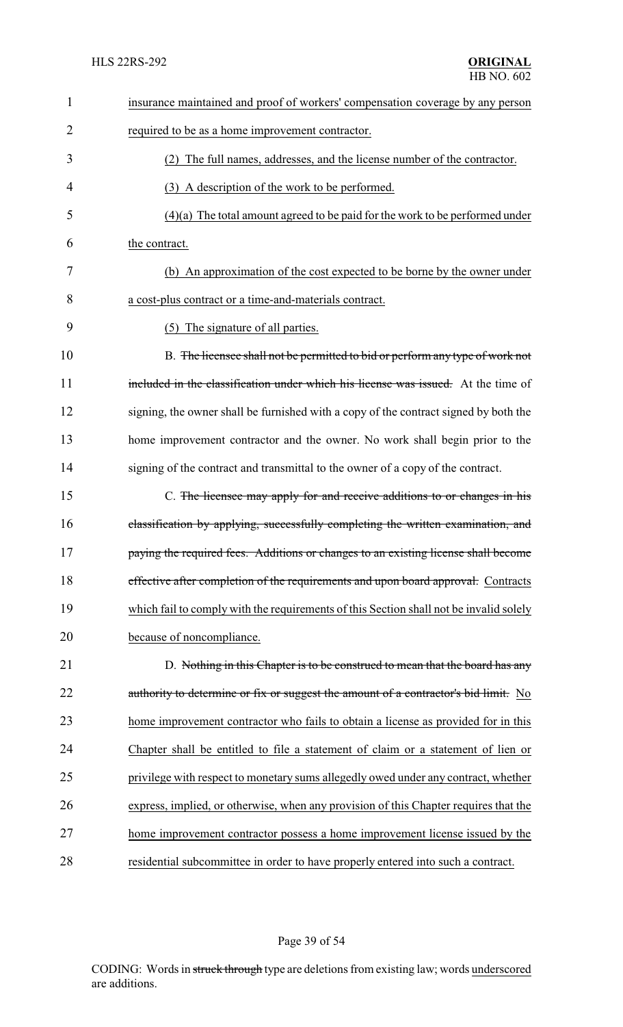| 1              | insurance maintained and proof of workers' compensation coverage by any person         |
|----------------|----------------------------------------------------------------------------------------|
| $\overline{2}$ | required to be as a home improvement contractor.                                       |
| 3              | (2) The full names, addresses, and the license number of the contractor.               |
| 4              | (3) A description of the work to be performed.                                         |
| 5              | $(4)(a)$ The total amount agreed to be paid for the work to be performed under         |
| 6              | the contract.                                                                          |
| 7              | (b) An approximation of the cost expected to be borne by the owner under               |
| 8              | a cost-plus contract or a time-and-materials contract.                                 |
| 9              | (5) The signature of all parties.                                                      |
| 10             | B. The licensee shall not be permitted to bid or perform any type of work not          |
| 11             | included in the classification under which his license was issued. At the time of      |
| 12             | signing, the owner shall be furnished with a copy of the contract signed by both the   |
| 13             | home improvement contractor and the owner. No work shall begin prior to the            |
| 14             | signing of the contract and transmittal to the owner of a copy of the contract.        |
| 15             | C. The licensee may apply for and receive additions to or changes in his               |
| 16             | classification by applying, successfully completing the written examination, and       |
| 17             | paying the required fees. Additions or changes to an existing license shall become     |
| 18             | effective after completion of the requirements and upon board approval. Contracts      |
| 19             | which fail to comply with the requirements of this Section shall not be invalid solely |
| 20             | because of noncompliance.                                                              |
| 21             | D. Nothing in this Chapter is to be construed to mean that the board has any           |
| 22             | authority to determine or fix or suggest the amount of a contractor's bid limit. No    |
| 23             | home improvement contractor who fails to obtain a license as provided for in this      |
| 24             | Chapter shall be entitled to file a statement of claim or a statement of lien or       |
| 25             | privilege with respect to monetary sums allegedly owed under any contract, whether     |
| 26             | express, implied, or otherwise, when any provision of this Chapter requires that the   |
| 27             | home improvement contractor possess a home improvement license issued by the           |
| 28             | residential subcommittee in order to have properly entered into such a contract.       |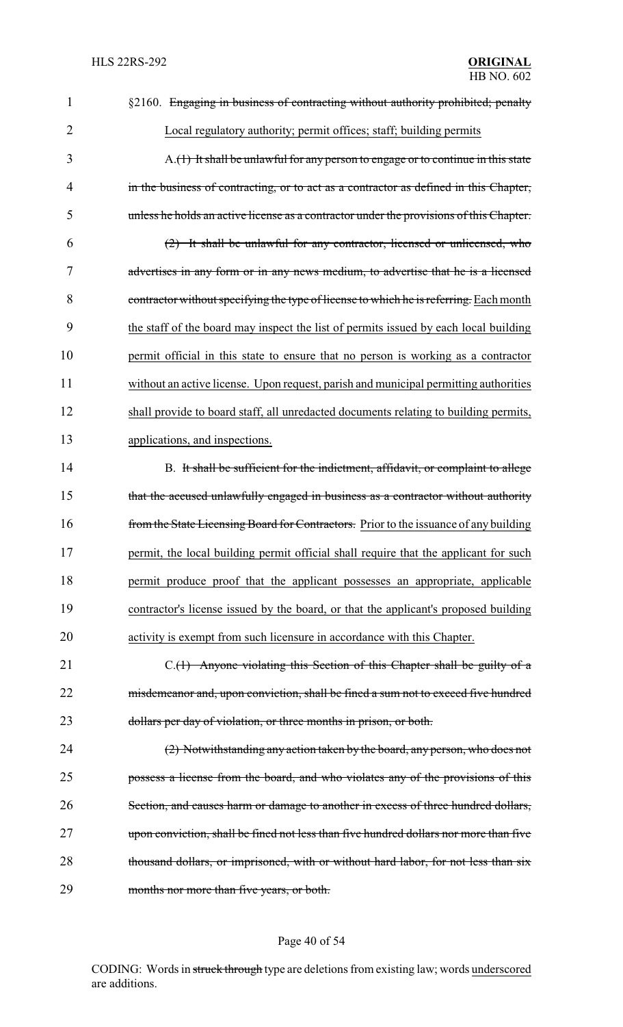| 1              | §2160. Engaging in business of contracting without authority prohibited; penalty        |
|----------------|-----------------------------------------------------------------------------------------|
| $\overline{2}$ | Local regulatory authority; permit offices; staff; building permits                     |
| 3              | A.(1) It shall be unlawful for any person to engage or to continue in this state        |
| 4              | in the business of contracting, or to act as a contractor as defined in this Chapter,   |
| 5              | unless he holds an active license as a contractor under the provisions of this Chapter. |
| 6              | (2) It shall be unlawful for any contractor, licensed or unlicensed, who                |
| 7              | advertises in any form or in any news medium, to advertise that he is a licensed        |
| 8              | contractor without specifying the type of license to which he is referring. Each month  |
| 9              | the staff of the board may inspect the list of permits issued by each local building    |
| 10             | permit official in this state to ensure that no person is working as a contractor       |
| 11             | without an active license. Upon request, parish and municipal permitting authorities    |
| 12             | shall provide to board staff, all unredacted documents relating to building permits,    |
| 13             | applications, and inspections.                                                          |
| 14             | B. It shall be sufficient for the indictment, affidavit, or complaint to allege         |
| 15             | that the accused unlawfully engaged in business as a contractor without authority       |
| 16             | from the State Licensing Board for Contractors. Prior to the issuance of any building   |
| 17             | permit, the local building permit official shall require that the applicant for such    |
| 18             | permit produce proof that the applicant possesses an appropriate, applicable            |
| 19             | contractor's license issued by the board, or that the applicant's proposed building     |
| 20             | activity is exempt from such licensure in accordance with this Chapter.                 |
| 21             | C.(1) Anyone violating this Section of this Chapter shall be guilty of a                |
| 22             | misdemeanor and, upon conviction, shall be fined a sum not to exceed five hundred       |
| 23             | dollars per day of violation, or three months in prison, or both.                       |
| 24             | (2) Notwithstanding any action taken by the board, any person, who does not             |
| 25             | possess a license from the board, and who violates any of the provisions of this        |
| 26             | Section, and causes harm or damage to another in excess of three hundred dollars,       |
| 27             | upon conviction, shall be fined not less than five hundred dollars nor more than five   |
| 28             | thousand dollars, or imprisoned, with or without hard labor, for not less than six      |
| 29             | months nor more than five years, or both.                                               |

# Page 40 of 54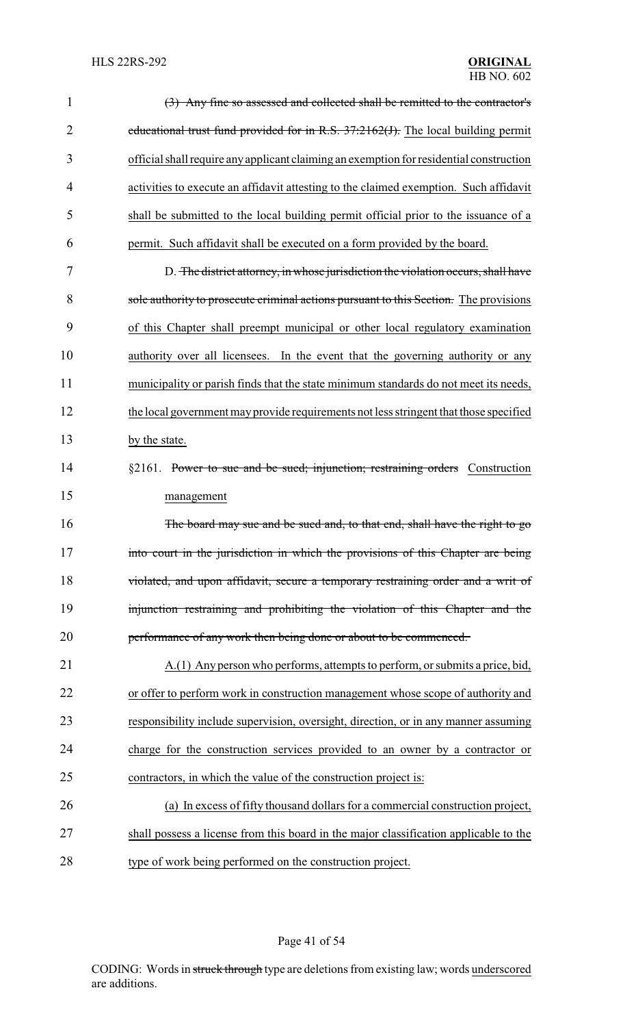| $\mathbf{1}$   | (3) Any fine so assessed and collected shall be remitted to the contractor's            |
|----------------|-----------------------------------------------------------------------------------------|
| $\overline{2}$ | educational trust fund provided for in R.S. $37:2162(f)$ . The local building permit    |
| 3              | official shall require any applicant claiming an exemption for residential construction |
| 4              | activities to execute an affidavit attesting to the claimed exemption. Such affidavit   |
| 5              | shall be submitted to the local building permit official prior to the issuance of a     |
| 6              | permit. Such affidavit shall be executed on a form provided by the board.               |
| 7              | D. The district attorney, in whose jurisdiction the violation occurs, shall have        |
| 8              | sole authority to prosecute criminal actions pursuant to this Section. The provisions   |
| 9              | of this Chapter shall preempt municipal or other local regulatory examination           |
| 10             | authority over all licensees. In the event that the governing authority or any          |
| 11             | municipality or parish finds that the state minimum standards do not meet its needs,    |
| 12             | the local government may provide requirements not less stringent that those specified   |
| 13             | by the state.                                                                           |
| 14             | §2161. Power to sue and be sued; injunction; restraining orders Construction            |
| 15             | management                                                                              |
| 16             | The board may sue and be sued and, to that end, shall have the right to go              |
| 17             | into court in the jurisdiction in which the provisions of this Chapter are being        |
| 18             | violated, and upon affidavit, secure a temporary restraining order and a writ of        |
| 19             | injunction restraining and prohibiting the violation of this Chapter and the            |
| 20             | performance of any work then being done or about to be commenced.                       |
| 21             | A.(1) Any person who performs, attempts to perform, or submits a price, bid,            |
| 22             | or offer to perform work in construction management whose scope of authority and        |
| 23             | responsibility include supervision, oversight, direction, or in any manner assuming     |
| 24             | charge for the construction services provided to an owner by a contractor or            |
| 25             | contractors, in which the value of the construction project is:                         |
| 26             | (a) In excess of fifty thousand dollars for a commercial construction project,          |
| 27             | shall possess a license from this board in the major classification applicable to the   |
| 28             | type of work being performed on the construction project.                               |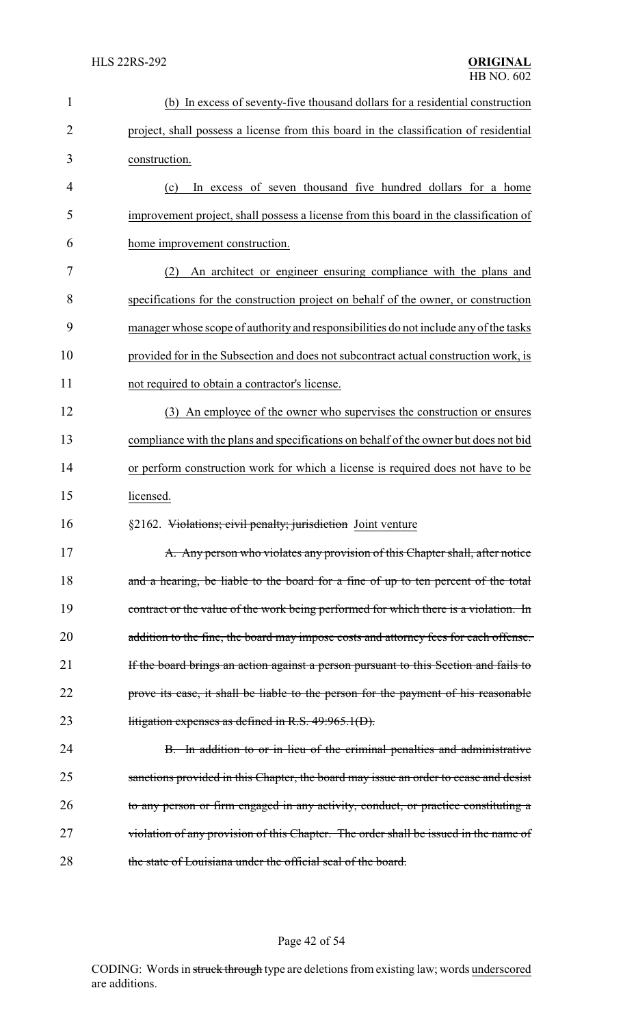| $\mathbf{1}$   | (b) In excess of seventy-five thousand dollars for a residential construction         |
|----------------|---------------------------------------------------------------------------------------|
| $\overline{2}$ | project, shall possess a license from this board in the classification of residential |
| 3              | construction.                                                                         |
| 4              | In excess of seven thousand five hundred dollars for a home<br>(c)                    |
| 5              | improvement project, shall possess a license from this board in the classification of |
| 6              | home improvement construction.                                                        |
| 7              | An architect or engineer ensuring compliance with the plans and<br>(2)                |
| 8              | specifications for the construction project on behalf of the owner, or construction   |
| 9              | manager whose scope of authority and responsibilities do not include any of the tasks |
| 10             | provided for in the Subsection and does not subcontract actual construction work, is  |
| 11             | not required to obtain a contractor's license.                                        |
| 12             | (3) An employee of the owner who supervises the construction or ensures               |
| 13             | compliance with the plans and specifications on behalf of the owner but does not bid  |
| 14             | or perform construction work for which a license is required does not have to be      |
| 15             | licensed.                                                                             |
| 16             | §2162. Violations; civil penalty; jurisdiction Joint venture                          |
| 17             | A. Any person who violates any provision of this Chapter shall, after notice          |
| 18             | and a hearing, be liable to the board for a fine of up to ten percent of the total    |
| 19             | contract or the value of the work being performed for which there is a violation. In  |
| 20             | addition to the fine, the board may impose costs and attorney fees for each offense.  |
| 21             | If the board brings an action against a person pursuant to this Section and fails to  |
| 22             | prove its case, it shall be liable to the person for the payment of his reasonable    |
| 23             | litigation expenses as defined in R.S. $49:965.1(D)$ .                                |
| 24             | B. In addition to or in lieu of the criminal penalties and administrative             |
| 25             | sanctions provided in this Chapter, the board may issue an order to cease and desist  |
| 26             | to any person or firm engaged in any activity, conduct, or practice constituting a    |
| 27             | violation of any provision of this Chapter. The order shall be issued in the name of  |
| 28             | the state of Louisiana under the official seal of the board.                          |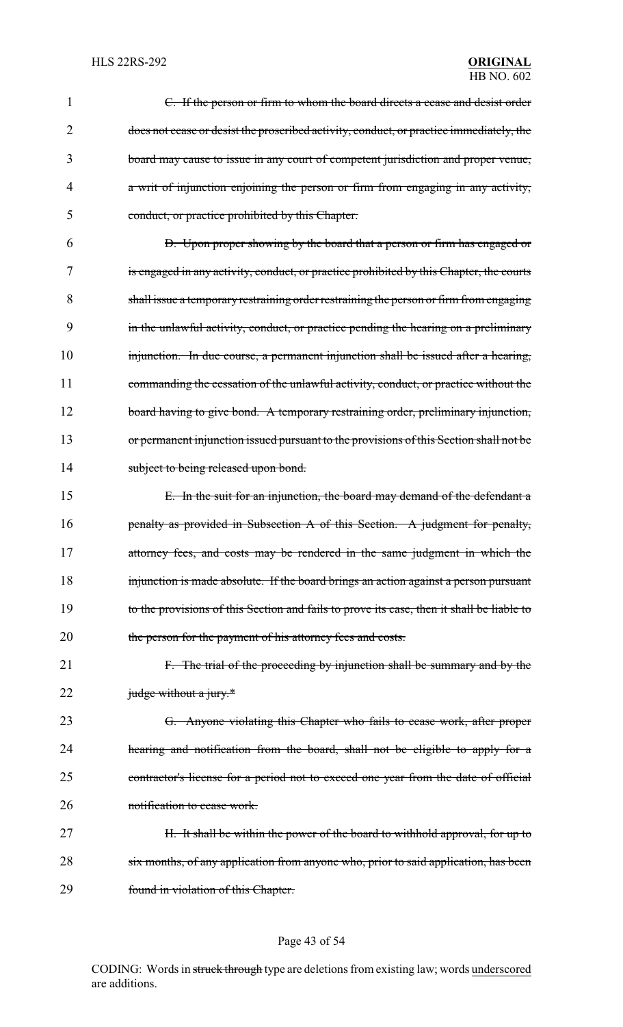| 1  | C. If the person or firm to whom the board directs a cease and desist order               |
|----|-------------------------------------------------------------------------------------------|
| 2  | does not cease or desist the proscribed activity, conduct, or practice immediately, the   |
| 3  | board may cause to issue in any court of competent jurisdiction and proper venue,         |
| 4  | a writ of injunction enjoining the person or firm from engaging in any activity,          |
| 5  | conduct, or practice prohibited by this Chapter.                                          |
| 6  | D. Upon proper showing by the board that a person or firm has engaged or                  |
| 7  | is engaged in any activity, conduct, or practice prohibited by this Chapter, the courts   |
| 8  | shall issue a temporary restraining order restraining the person or firm from engaging    |
| 9  | in the unlawful activity, conduct, or practice pending the hearing on a preliminary       |
| 10 | injunction. In due course, a permanent injunction shall be issued after a hearing,        |
| 11 | commanding the cessation of the unlawful activity, conduct, or practice without the       |
| 12 | board having to give bond. A temporary restraining order, preliminary injunction,         |
| 13 | or permanent injunction issued pursuant to the provisions of this Section shall not be    |
| 14 | subject to being released upon bond.                                                      |
| 15 | E. In the suit for an injunction, the board may demand of the defendant a                 |
| 16 | penalty as provided in Subsection A of this Section. A judgment for penalty,              |
| 17 | attorney fees, and costs may be rendered in the same judgment in which the                |
| 18 | injunction is made absolute. If the board brings an action against a person pursuant      |
| 19 | to the provisions of this Section and fails to prove its case, then it shall be liable to |
| 20 | the person for the payment of his attorney fees and costs.                                |
| 21 | F. The trial of the proceeding by injunction shall be summary and by the                  |
| 22 | judge without a jury.*                                                                    |
| 23 | G. Anyone violating this Chapter who fails to cease work, after proper                    |
| 24 | hearing and notification from the board, shall not be eligible to apply for a             |
| 25 | contractor's license for a period not to exceed one year from the date of official        |
| 26 | notification to cease work.                                                               |
| 27 | H. It shall be within the power of the board to withhold approval, for up to              |
| 28 | six months, of any application from anyone who, prior to said application, has been       |
| 29 | found in violation of this Chapter.                                                       |
|    |                                                                                           |

# Page 43 of 54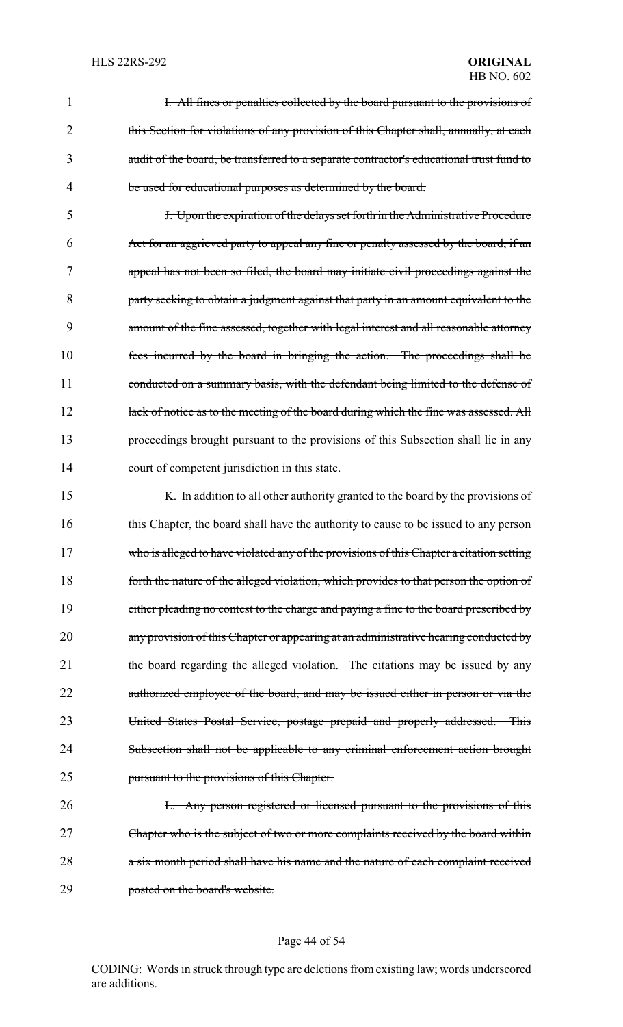|   | I. All fines or penalties collected by the board pursuant to the provisions of          |
|---|-----------------------------------------------------------------------------------------|
|   | this Section for violations of any provision of this Chapter shall, annually, at each   |
|   | audit of the board, be transferred to a separate contractor's educational trust fund to |
| 4 | be used for educational purposes as determined by the board.                            |

5 J. Upon the expiration of the delays set forth in the Administrative Procedure 6 Act for an aggrieved party to appeal any fine or penalty assessed by the board, if an 7 appeal has not been so filed, the board may initiate civil proceedings against the 8 party seeking to obtain a judgment against that party in an amount equivalent to the 9 amount of the fine assessed, together with legal interest and all reasonable attorney 10 fees incurred by the board in bringing the action. The proceedings shall be 11 conducted on a summary basis, with the defendant being limited to the defense of 12 lack of notice as to the meeting of the board during which the fine was assessed. All 13 proceedings brought pursuant to the provisions of this Subsection shall lie in any 14 court of competent jurisdiction in this state.

15 K. In addition to all other authority granted to the board by the provisions of 16 this Chapter, the board shall have the authority to cause to be issued to any person 17 who is alleged to have violated any of the provisions of this Chapter a citation setting 18 forth the nature of the alleged violation, which provides to that person the option of 19 either pleading no contest to the charge and paying a fine to the board prescribed by 20 any provision of this Chapter or appearing at an administrative hearing conducted by 21 the board regarding the alleged violation. The citations may be issued by any 22 authorized employee of the board, and may be issued either in person or via the 23 United States Postal Service, postage prepaid and properly addressed. This 24 Subsection shall not be applicable to any criminal enforcement action brought 25 pursuant to the provisions of this Chapter.

26 L. Any person registered or licensed pursuant to the provisions of this 27 Chapter who is the subject of two or more complaints received by the board within 28 a six month period shall have his name and the nature of each complaint received 29 posted on the board's website.

#### Page 44 of 54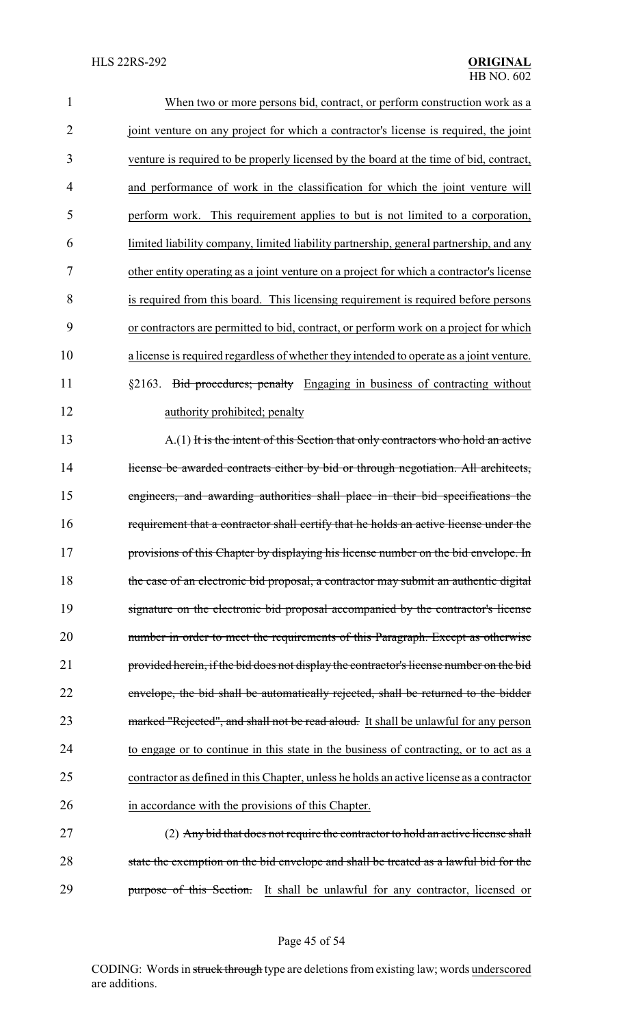| $\mathbf{1}$   | When two or more persons bid, contract, or perform construction work as a                |
|----------------|------------------------------------------------------------------------------------------|
| $\overline{2}$ | joint venture on any project for which a contractor's license is required, the joint     |
| 3              | venture is required to be properly licensed by the board at the time of bid, contract,   |
| 4              | and performance of work in the classification for which the joint venture will           |
| 5              | perform work. This requirement applies to but is not limited to a corporation,           |
| 6              | limited liability company, limited liability partnership, general partnership, and any   |
| 7              | other entity operating as a joint venture on a project for which a contractor's license  |
| 8              | is required from this board. This licensing requirement is required before persons       |
| 9              | or contractors are permitted to bid, contract, or perform work on a project for which    |
| 10             | a license is required regardless of whether they intended to operate as a joint venture. |
| 11             | §2163. Bid procedures; penalty Engaging in business of contracting without               |
| 12             | authority prohibited; penalty                                                            |
| 13             | A.(1) It is the intent of this Section that only contractors who hold an active          |
| 14             | license be awarded contracts either by bid or through negotiation. All architects,       |
| 15             | engineers, and awarding authorities shall place in their bid specifications the          |
| 16             | requirement that a contractor shall certify that he holds an active license under the    |
| 17             | provisions of this Chapter by displaying his license number on the bid envelope. In      |
| 18             | the case of an electronic bid proposal, a contractor may submit an authentic digital     |
| 19             | signature on the electronic bid proposal accompanied by the contractor's license         |
| 20             | number in order to meet the requirements of this Paragraph. Except as otherwise          |
| 21             | provided herein, if the bid does not display the contractor's license number on the bid  |
| 22             | envelope, the bid shall be automatically rejected, shall be returned to the bidder       |
| 23             | marked "Rejected", and shall not be read aloud. It shall be unlawful for any person      |
| 24             | to engage or to continue in this state in the business of contracting, or to act as a    |
| 25             | contractor as defined in this Chapter, unless he holds an active license as a contractor |
| 26             | in accordance with the provisions of this Chapter.                                       |
| 27             | (2) Any bid that does not require the contractor to hold an active license shall         |
| 28             | state the exemption on the bid envelope and shall be treated as a lawful bid for the     |
| 29             | purpose of this Section. It shall be unlawful for any contractor, licensed or            |

Page 45 of 54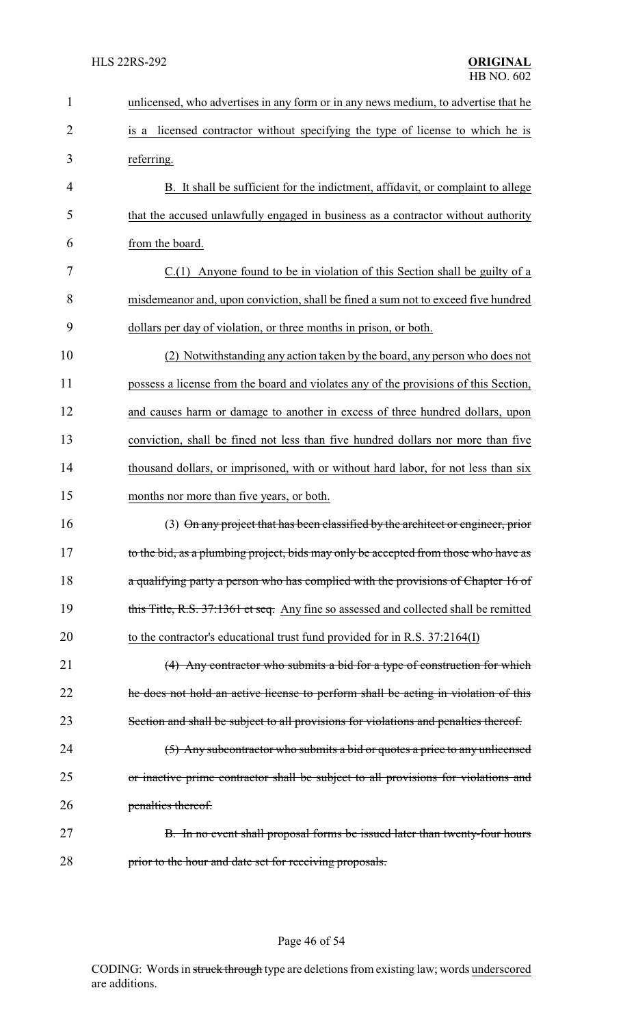| 1              | unlicensed, who advertises in any form or in any news medium, to advertise that he    |
|----------------|---------------------------------------------------------------------------------------|
| $\overline{2}$ | is a licensed contractor without specifying the type of license to which he is        |
| 3              | referring.                                                                            |
| 4              | B. It shall be sufficient for the indictment, affidavit, or complaint to allege       |
| 5              | that the accused unlawfully engaged in business as a contractor without authority     |
| 6              | from the board.                                                                       |
| 7              | $C(1)$ Anyone found to be in violation of this Section shall be guilty of a           |
| 8              | misdemeanor and, upon conviction, shall be fined a sum not to exceed five hundred     |
| 9              | dollars per day of violation, or three months in prison, or both.                     |
| 10             | (2) Notwithstanding any action taken by the board, any person who does not            |
| 11             | possess a license from the board and violates any of the provisions of this Section,  |
| 12             | and causes harm or damage to another in excess of three hundred dollars, upon         |
| 13             | conviction, shall be fined not less than five hundred dollars nor more than five      |
| 14             | thousand dollars, or imprisoned, with or without hard labor, for not less than six    |
| 15             | months nor more than five years, or both.                                             |
| 16             | (3) On any project that has been classified by the architect or engineer, prior       |
| 17             | to the bid, as a plumbing project, bids may only be accepted from those who have as   |
| 18             | a qualifying party a person who has complied with the provisions of Chapter 16 of     |
| 19             | this Title, R.S. 37:1361 et seq. Any fine so assessed and collected shall be remitted |
| 20             | to the contractor's educational trust fund provided for in R.S. 37:2164(I)            |
| 21             | (4) Any contractor who submits a bid for a type of construction for which             |
| 22             | the does not hold an active license to perform shall be acting in violation of this   |
| 23             | Section and shall be subject to all provisions for violations and penalties thereof.  |
| 24             | (5) Any subcontractor who submits a bid or quotes a price to any unlicensed           |
| 25             | or inactive prime contractor shall be subject to all provisions for violations and    |
| 26             | penalties thereof.                                                                    |
| 27             | B. In no event shall proposal forms be issued later than twenty-four hours            |
| 28             | prior to the hour and date set for receiving proposals.                               |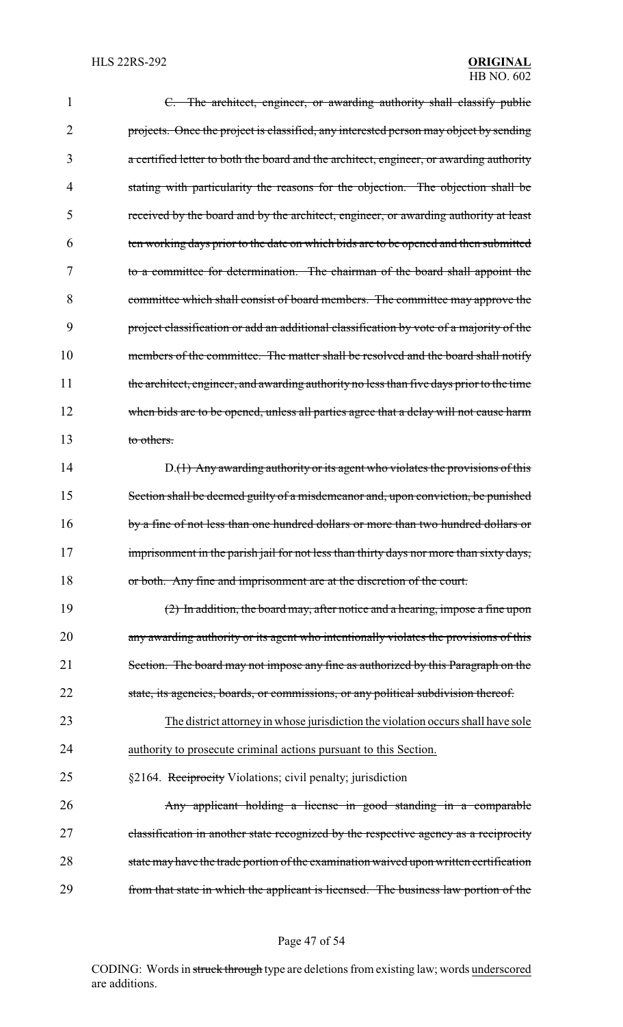| $\mathbf{1}$ | C. The architect, engineer, or awarding authority shall classify public                  |
|--------------|------------------------------------------------------------------------------------------|
| 2            | projects. Once the project is classified, any interested person may object by sending    |
| 3            | a certified letter to both the board and the architect, engineer, or awarding authority  |
| 4            | stating with particularity the reasons for the objection. The objection shall be         |
| 5            | received by the board and by the architect, engineer, or awarding authority at least     |
| 6            | ten working days prior to the date on which bids are to be opened and then submitted     |
| 7            | to a committee for determination. The chairman of the board shall appoint the            |
| 8            | committee which shall consist of board members. The committee may approve the            |
| 9            | project classification or add an additional classification by vote of a majority of the  |
| 10           | members of the committee. The matter shall be resolved and the board shall notify        |
| 11           | the architect, engineer, and awarding authority no less than five days prior to the time |
| 12           | when bids are to be opened, unless all parties agree that a delay will not cause harm    |
| 13           | to others.                                                                               |
| 14           | D.(1) Any awarding authority or its agent who violates the provisions of this            |
| 15           | Section shall be deemed guilty of a misdemeanor and, upon conviction, be punished        |
| 16           | by a fine of not less than one hundred dollars or more than two hundred dollars or       |
| 17           | imprisonment in the parish jail for not less than thirty days nor more than sixty days,  |
| 18           | or both. Any fine and imprisonment are at the discretion of the court.                   |
| 19           | $(2)$ In addition, the board may, after notice and a hearing, impose a fine upon         |
| 20           | any awarding authority or its agent who intentionally violates the provisions of this    |
| 21           | Section. The board may not impose any fine as authorized by this Paragraph on the        |
| 22           | state, its agencies, boards, or commissions, or any political subdivision thereof.       |
| 23           | The district attorney in whose jurisdiction the violation occurs shall have sole         |
| 24           | authority to prosecute criminal actions pursuant to this Section.                        |
| 25           | §2164. Reciprocity Violations; civil penalty; jurisdiction                               |
| 26           | Any applicant holding a license in good standing in a comparable                         |
| 27           | classification in another state recognized by the respective agency as a reciprocity     |
| 28           | state may have the trade portion of the examination waived upon written certification    |
| 29           | from that state in which the applicant is licensed. The business law portion of the      |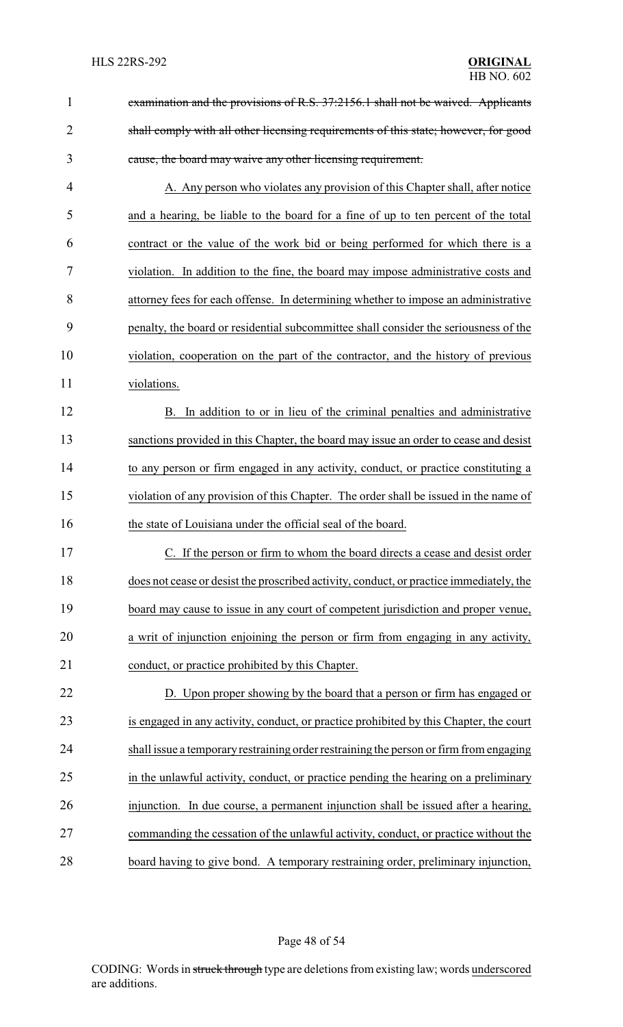| $\mathbf{1}$   | examination and the provisions of R.S. 37:2156.1 shall not be waived. Applicants        |
|----------------|-----------------------------------------------------------------------------------------|
| $\overline{2}$ | shall comply with all other licensing requirements of this state; however, for good     |
| 3              | cause, the board may waive any other licensing requirement.                             |
| 4              | A. Any person who violates any provision of this Chapter shall, after notice            |
| 5              | and a hearing, be liable to the board for a fine of up to ten percent of the total      |
| 6              | contract or the value of the work bid or being performed for which there is a           |
| 7              | violation. In addition to the fine, the board may impose administrative costs and       |
| 8              | attorney fees for each offense. In determining whether to impose an administrative      |
| 9              | penalty, the board or residential subcommittee shall consider the seriousness of the    |
| 10             | violation, cooperation on the part of the contractor, and the history of previous       |
| 11             | violations.                                                                             |
| 12             | B. In addition to or in lieu of the criminal penalties and administrative               |
| 13             | sanctions provided in this Chapter, the board may issue an order to cease and desist    |
| 14             | to any person or firm engaged in any activity, conduct, or practice constituting a      |
| 15             | violation of any provision of this Chapter. The order shall be issued in the name of    |
| 16             | the state of Louisiana under the official seal of the board.                            |
| 17             | If the person or firm to whom the board directs a cease and desist order                |
| 18             | does not cease or desist the proscribed activity, conduct, or practice immediately, the |
| 19             | board may cause to issue in any court of competent jurisdiction and proper venue,       |
| 20             | a writ of injunction enjoining the person or firm from engaging in any activity,        |
| 21             | conduct, or practice prohibited by this Chapter.                                        |
| 22             | D. Upon proper showing by the board that a person or firm has engaged or                |
| 23             | is engaged in any activity, conduct, or practice prohibited by this Chapter, the court  |
| 24             | shall issue a temporary restraining order restraining the person or firm from engaging  |
| 25             | in the unlawful activity, conduct, or practice pending the hearing on a preliminary     |
| 26             | injunction. In due course, a permanent injunction shall be issued after a hearing,      |
| 27             | commanding the cessation of the unlawful activity, conduct, or practice without the     |
| 28             | board having to give bond. A temporary restraining order, preliminary injunction,       |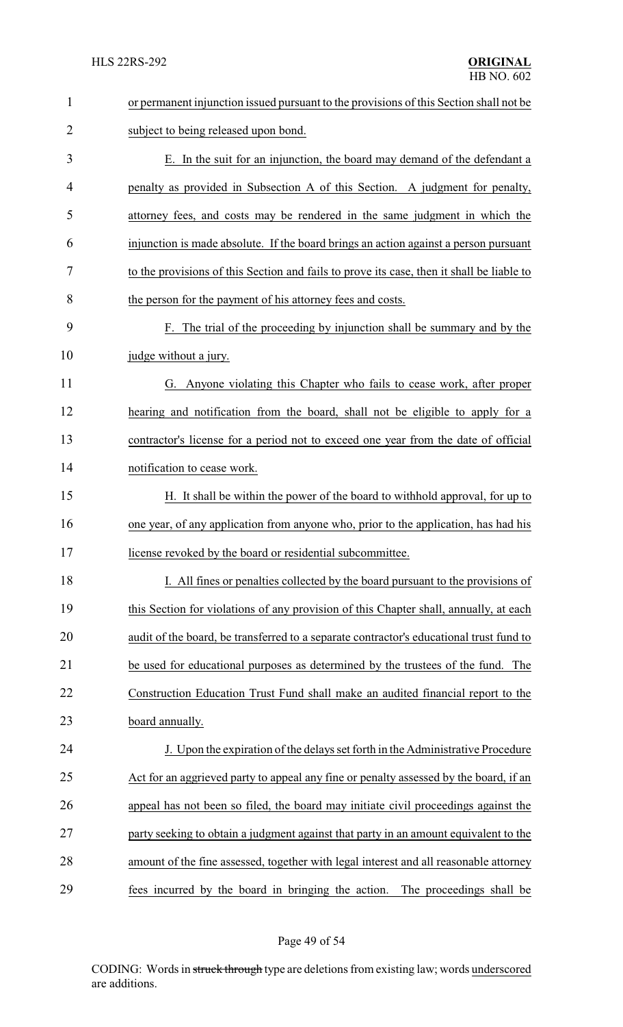| $\mathbf{1}$   | or permanent injunction issued pursuant to the provisions of this Section shall not be    |
|----------------|-------------------------------------------------------------------------------------------|
| $\overline{2}$ | subject to being released upon bond.                                                      |
| 3              | E. In the suit for an injunction, the board may demand of the defendant a                 |
| 4              | penalty as provided in Subsection A of this Section. A judgment for penalty,              |
| 5              | attorney fees, and costs may be rendered in the same judgment in which the                |
| 6              | injunction is made absolute. If the board brings an action against a person pursuant      |
| 7              | to the provisions of this Section and fails to prove its case, then it shall be liable to |
| 8              | the person for the payment of his attorney fees and costs.                                |
| 9              | F. The trial of the proceeding by injunction shall be summary and by the                  |
| 10             | judge without a jury.                                                                     |
| 11             | G. Anyone violating this Chapter who fails to cease work, after proper                    |
| 12             | hearing and notification from the board, shall not be eligible to apply for a             |
| 13             | contractor's license for a period not to exceed one year from the date of official        |
| 14             | notification to cease work.                                                               |
| 15             | H. It shall be within the power of the board to withhold approval, for up to              |
| 16             | one year, of any application from anyone who, prior to the application, has had his       |
| 17             | license revoked by the board or residential subcommittee.                                 |
| 18             | I. All fines or penalties collected by the board pursuant to the provisions of            |
| 19             | this Section for violations of any provision of this Chapter shall, annually, at each     |
| 20             | audit of the board, be transferred to a separate contractor's educational trust fund to   |
| 21             | be used for educational purposes as determined by the trustees of the fund. The           |
| 22             | Construction Education Trust Fund shall make an audited financial report to the           |
| 23             | board annually.                                                                           |
| 24             | J. Upon the expiration of the delays set forth in the Administrative Procedure            |
| 25             | Act for an aggrieved party to appeal any fine or penalty assessed by the board, if an     |
| 26             | appeal has not been so filed, the board may initiate civil proceedings against the        |
| 27             | party seeking to obtain a judgment against that party in an amount equivalent to the      |
| 28             | amount of the fine assessed, together with legal interest and all reasonable attorney     |
| 29             | fees incurred by the board in bringing the action. The proceedings shall be               |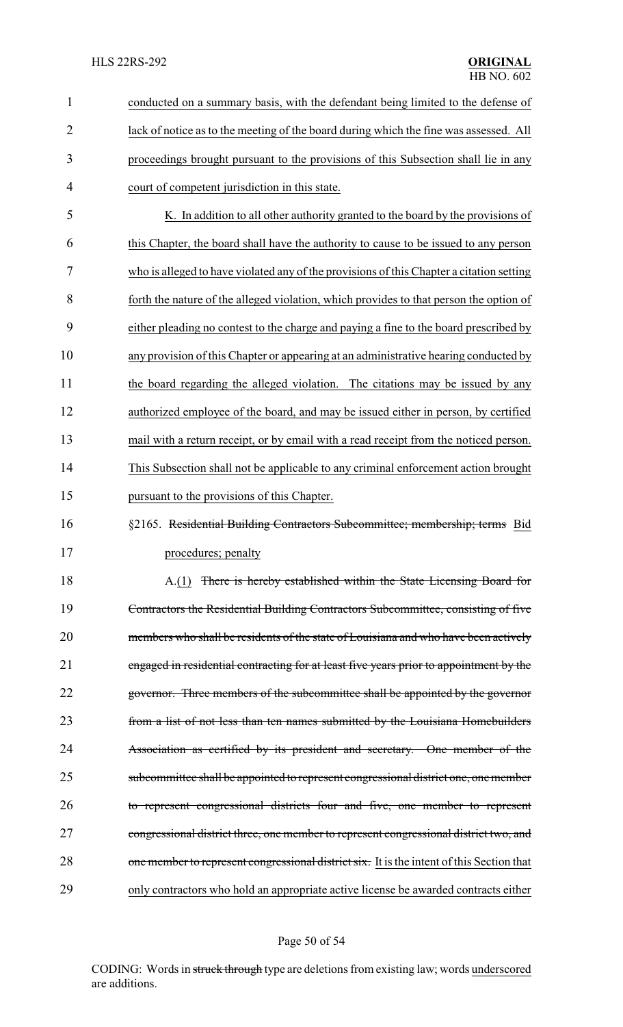| $\mathbf{1}$   | conducted on a summary basis, with the defendant being limited to the defense of          |
|----------------|-------------------------------------------------------------------------------------------|
| $\overline{2}$ | lack of notice as to the meeting of the board during which the fine was assessed. All     |
| 3              | proceedings brought pursuant to the provisions of this Subsection shall lie in any        |
| $\overline{4}$ | court of competent jurisdiction in this state.                                            |
| 5              | K. In addition to all other authority granted to the board by the provisions of           |
| 6              | this Chapter, the board shall have the authority to cause to be issued to any person      |
| 7              | who is alleged to have violated any of the provisions of this Chapter a citation setting  |
| 8              | forth the nature of the alleged violation, which provides to that person the option of    |
| 9              | either pleading no contest to the charge and paying a fine to the board prescribed by     |
| 10             | any provision of this Chapter or appearing at an administrative hearing conducted by      |
| 11             | the board regarding the alleged violation. The citations may be issued by any             |
| 12             | authorized employee of the board, and may be issued either in person, by certified        |
| 13             | mail with a return receipt, or by email with a read receipt from the noticed person.      |
| 14             | This Subsection shall not be applicable to any criminal enforcement action brought        |
| 15             | pursuant to the provisions of this Chapter.                                               |
| 16             | §2165. Residential Building Contractors Subcommittee; membership; terms Bid               |
| 17             | procedures; penalty                                                                       |
| 18             | A.(1) There is hereby established within the State Licensing Board for                    |
| 19             | Contractors the Residential Building Contractors Subcommittee, consisting of five         |
| 20             | members who shall be residents of the state of Louisiana and who have been actively       |
| 21             | engaged in residential contracting for at least five years prior to appointment by the    |
| 22             | governor. Three members of the subcommittee shall be appointed by the governor            |
| 23             | from a list of not less than ten names submitted by the Louisiana Homebuilders            |
| 24             | Association as certified by its president and secretary. One member of the                |
| 25             | subcommittee shall be appointed to represent congressional district one, one member       |
| 26             | to represent congressional districts four and five, one member to represent               |
| 27             | congressional district three, one member to represent congressional district two, and     |
| 28             | one member to represent congressional district six. It is the intent of this Section that |
| 29             | only contractors who hold an appropriate active license be awarded contracts either       |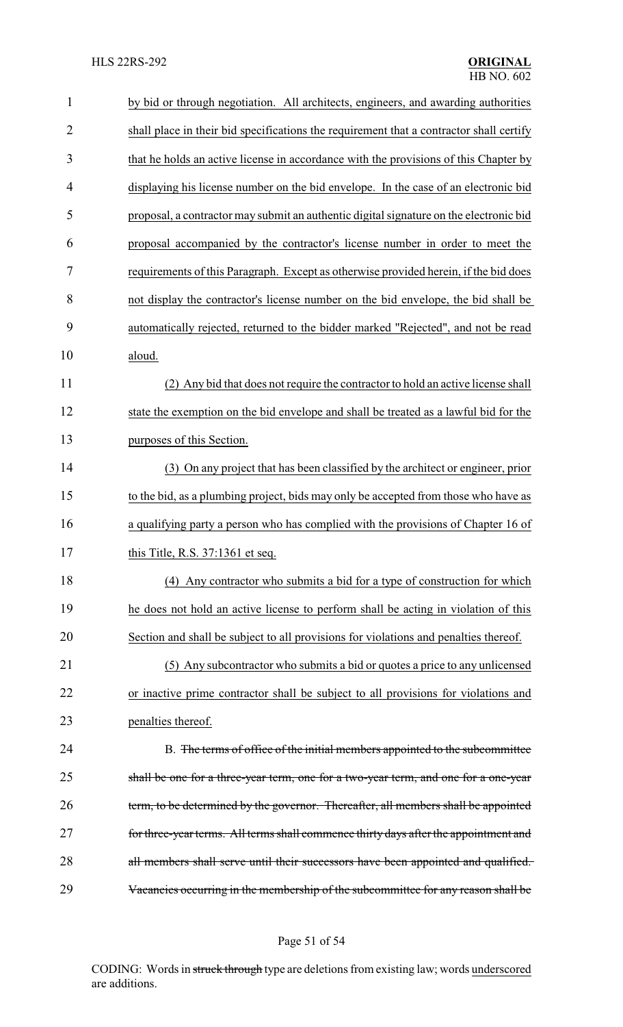| $\mathbf{1}$   | by bid or through negotiation. All architects, engineers, and awarding authorities      |
|----------------|-----------------------------------------------------------------------------------------|
| $\overline{2}$ | shall place in their bid specifications the requirement that a contractor shall certify |
| 3              | that he holds an active license in accordance with the provisions of this Chapter by    |
| 4              | displaying his license number on the bid envelope. In the case of an electronic bid     |
| 5              | proposal, a contractor may submit an authentic digital signature on the electronic bid  |
| 6              | proposal accompanied by the contractor's license number in order to meet the            |
| 7              | requirements of this Paragraph. Except as otherwise provided herein, if the bid does    |
| 8              | not display the contractor's license number on the bid envelope, the bid shall be       |
| 9              | automatically rejected, returned to the bidder marked "Rejected", and not be read       |
| 10             | aloud.                                                                                  |
| 11             | (2) Any bid that does not require the contractor to hold an active license shall        |
| 12             | state the exemption on the bid envelope and shall be treated as a lawful bid for the    |
| 13             | purposes of this Section.                                                               |
| 14             | (3) On any project that has been classified by the architect or engineer, prior         |
| 15             | to the bid, as a plumbing project, bids may only be accepted from those who have as     |
| 16             | a qualifying party a person who has complied with the provisions of Chapter 16 of       |
| 17             | this Title, R.S. 37:1361 et seq.                                                        |
| 18             | (4) Any contractor who submits a bid for a type of construction for which               |
| 19             | he does not hold an active license to perform shall be acting in violation of this      |
| 20             | Section and shall be subject to all provisions for violations and penalties thereof.    |
| 21             | (5) Any subcontractor who submits a bid or quotes a price to any unlicensed             |
| 22             | or inactive prime contractor shall be subject to all provisions for violations and      |
| 23             | penalties thereof.                                                                      |
| 24             | B. The terms of office of the initial members appointed to the subcommittee             |
| 25             | shall be one for a three-year term, one for a two-year term, and one for a one-year     |
| 26             | term, to be determined by the governor. Thereafter, all members shall be appointed      |
| 27             | for three-year terms. All terms shall commence thirty days after the appointment and    |
| 28             | all members shall serve until their successors have been appointed and qualified.       |
| 29             | Vacancies occurring in the membership of the subcommittee for any reason shall be       |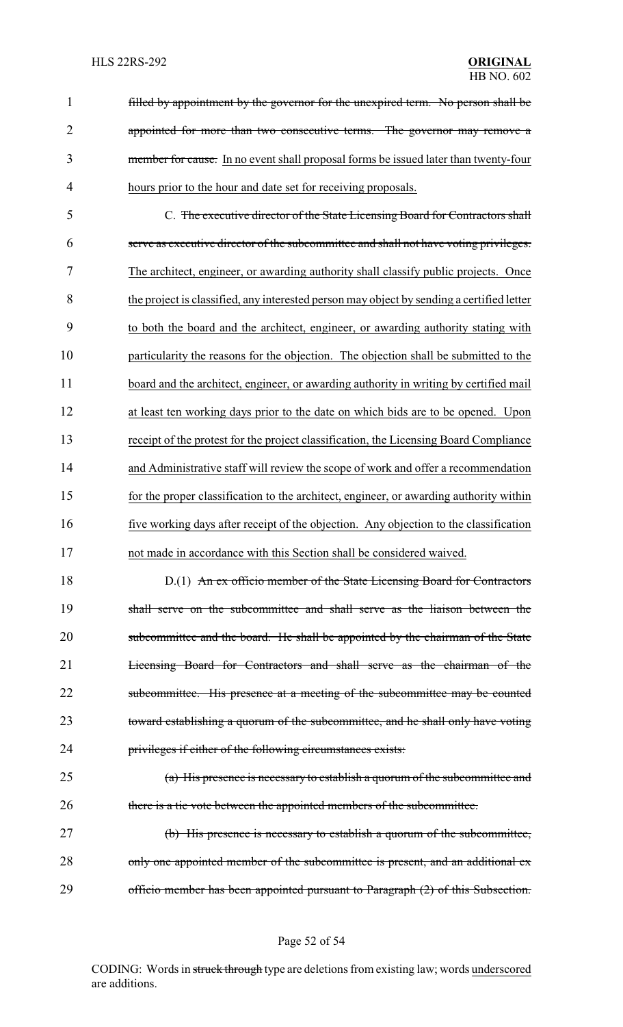filled by appointment by the governor for the unexpired term. No person shall be 2 appointed for more than two consecutive terms. The governor may remove a member for cause. In no event shall proposal forms be issued later than twenty-four hours prior to the hour and date set for receiving proposals.

 C. The executive director of the State Licensing Board for Contractors shall serve as executive director of the subcommittee and shall not have voting privileges. The architect, engineer, or awarding authority shall classify public projects. Once the project is classified, any interested person may object by sending a certified letter to both the board and the architect, engineer, or awarding authority stating with particularity the reasons for the objection. The objection shall be submitted to the 11 board and the architect, engineer, or awarding authority in writing by certified mail at least ten working days prior to the date on which bids are to be opened. Upon receipt of the protest for the project classification, the Licensing Board Compliance and Administrative staff will review the scope of work and offer a recommendation for the proper classification to the architect, engineer, or awarding authority within five working days after receipt of the objection. Any objection to the classification not made in accordance with this Section shall be considered waived.

18 D.(1) An ex officio member of the State Licensing Board for Contractors shall serve on the subcommittee and shall serve as the liaison between the 20 subcommittee and the board. He shall be appointed by the chairman of the State Licensing Board for Contractors and shall serve as the chairman of the 22 subcommittee. His presence at a meeting of the subcommittee may be counted toward establishing a quorum of the subcommittee, and he shall only have voting privileges if either of the following circumstances exists:

 (a) His presence is necessary to establish a quorum of the subcommittee and there is a tie vote between the appointed members of the subcommittee.

 (b) His presence is necessary to establish a quorum of the subcommittee, 28 only one appointed member of the subcommittee is present, and an additional ex-officio member has been appointed pursuant to Paragraph (2) of this Subsection.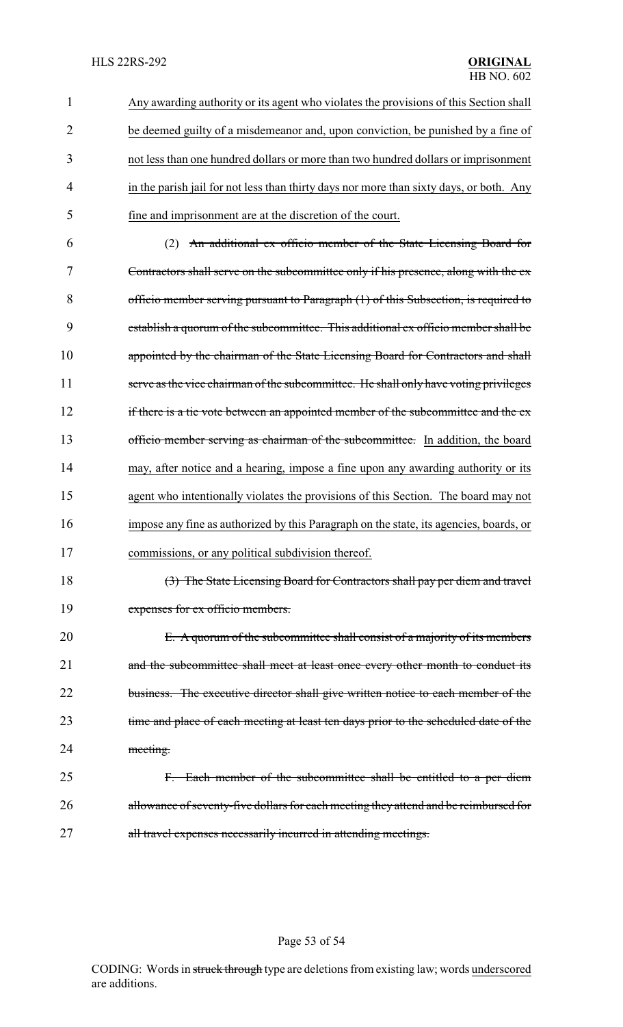| 1              | Any awarding authority or its agent who violates the provisions of this Section shall   |
|----------------|-----------------------------------------------------------------------------------------|
| $\overline{2}$ | be deemed guilty of a misdemeanor and, upon conviction, be punished by a fine of        |
| 3              | not less than one hundred dollars or more than two hundred dollars or imprisonment      |
| $\overline{4}$ | in the parish jail for not less than thirty days nor more than sixty days, or both. Any |
| 5              | fine and imprisonment are at the discretion of the court.                               |
| 6              | An additional ex officio member of the State Licensing Board for                        |

 Contractors shall serve on the subcommittee only if his presence, along with the ex officio member serving pursuant to Paragraph (1) of this Subsection, is required to establish a quorum of the subcommittee. This additional ex officio member shall be 10 appointed by the chairman of the State Licensing Board for Contractors and shall 11 serve as the vice chairman of the subcommittee. He shall only have voting privileges 12 if there is a tie vote between an appointed member of the subcommittee and the ex-13 officio member serving as chairman of the subcommittee. In addition, the board may, after notice and a hearing, impose a fine upon any awarding authority or its agent who intentionally violates the provisions of this Section. The board may not impose any fine as authorized by this Paragraph on the state, its agencies, boards, or commissions, or any political subdivision thereof.

18 (3) The State Licensing Board for Contractors shall pay per diem and travel 19 expenses for ex officio members.

20 E. A quorum of the subcommittee shall consist of a majority of its members 21 and the subcommittee shall meet at least once every other month to conduct its 22 business. The executive director shall give written notice to each member of the 23 time and place of each meeting at least ten days prior to the scheduled date of the 24 meeting.

25 F. Each member of the subcommittee shall be entitled to a per diem 26 allowance of seventy-five dollars for each meeting they attend and be reimbursed for 27 all travel expenses necessarily incurred in attending meetings.

#### Page 53 of 54